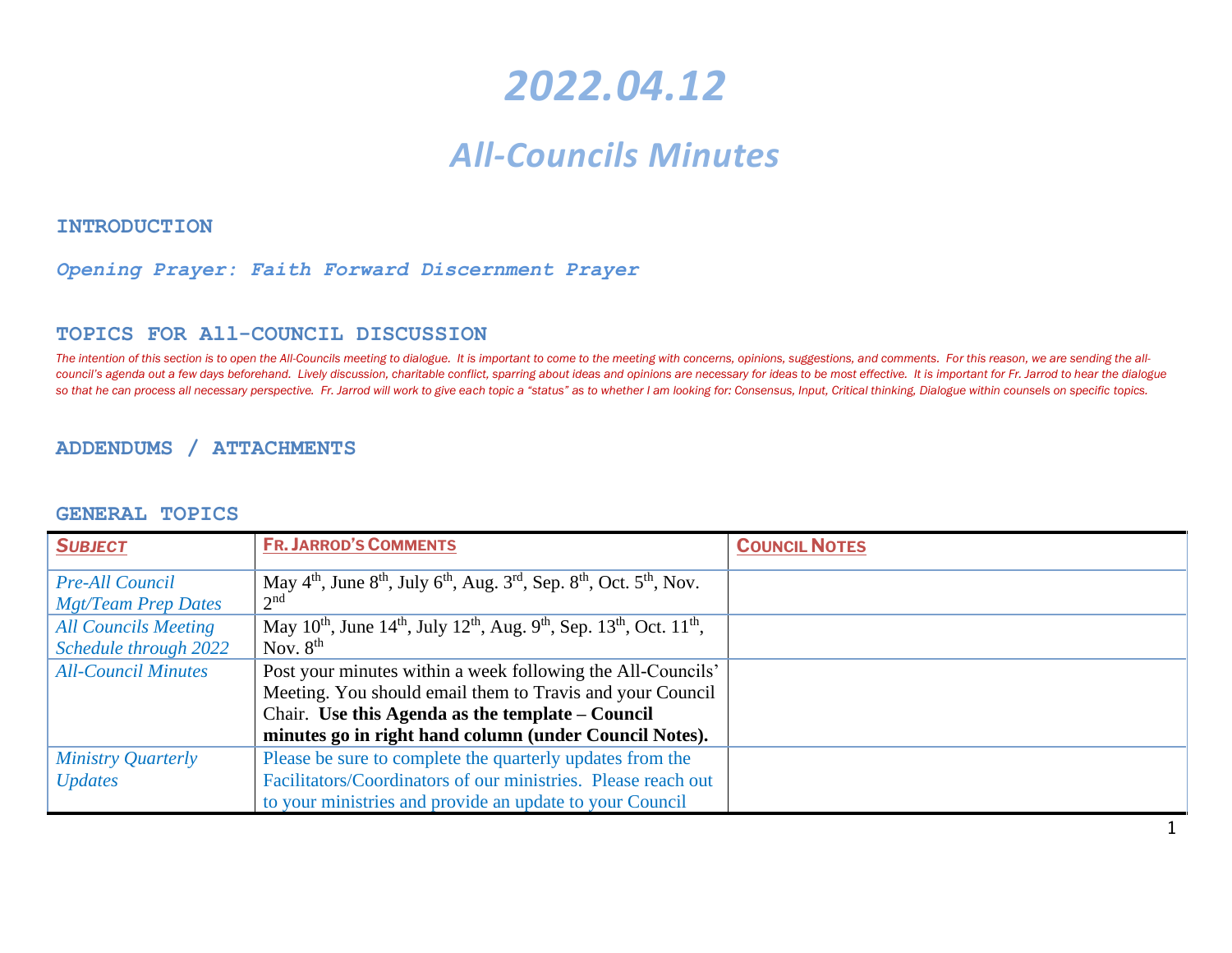# *2022.04.12*

# *All-Councils Minutes*

**INTRODUCTION** 

#### *Opening Prayer: Faith Forward Discernment Prayer*

#### **TOPICS FOR All-COUNCIL DISCUSSION**

The intention of this section is to open the All-Councils meeting to dialogue. It is important to come to the meeting with concerns, opinions, suggestions, and comments. For this reason, we are sending the allcouncil's agenda out a few days beforehand. Lively discussion, charitable conflict, sparring about ideas and opinions are necessary for ideas to be most effective. It is important for Fr. Jarrod to hear the dialogue so that he can process all necessary perspective. Fr. Jarrod will work to give each topic a "status" as to whether I am looking for: Consensus, Input, Critical thinking, Dialogue within counsels on specific topics.

#### **ADDENDUMS / ATTACHMENTS**

#### **GENERAL TOPICS**

| <b>SUBJECT</b>              | <b>FR. JARROD'S COMMENTS</b>                                                                                                                  | <b>COUNCIL NOTES</b> |
|-----------------------------|-----------------------------------------------------------------------------------------------------------------------------------------------|----------------------|
| <b>Pre-All Council</b>      | May $4th$ , June $8th$ , July $6th$ , Aug. $3rd$ , Sep. $8th$ , Oct. $5th$ , Nov.                                                             |                      |
| Mgt/Team Prep Dates         | 2 <sup>nd</sup>                                                                                                                               |                      |
| <b>All Councils Meeting</b> | May 10 <sup>th</sup> , June 14 <sup>th</sup> , July 12 <sup>th</sup> , Aug. 9 <sup>th</sup> , Sep. 13 <sup>th</sup> , Oct. 11 <sup>th</sup> , |                      |
| Schedule through 2022       | Nov. $8th$                                                                                                                                    |                      |
| <b>All-Council Minutes</b>  | Post your minutes within a week following the All-Councils'                                                                                   |                      |
|                             | Meeting. You should email them to Travis and your Council                                                                                     |                      |
|                             | Chair. Use this Agenda as the template $-$ Council                                                                                            |                      |
|                             | minutes go in right hand column (under Council Notes).                                                                                        |                      |
| Ministry Quarterly          | Please be sure to complete the quarterly updates from the                                                                                     |                      |
| <b>Updates</b>              | Facilitators/Coordinators of our ministries. Please reach out                                                                                 |                      |
|                             | to your ministries and provide an update to your Council                                                                                      |                      |

1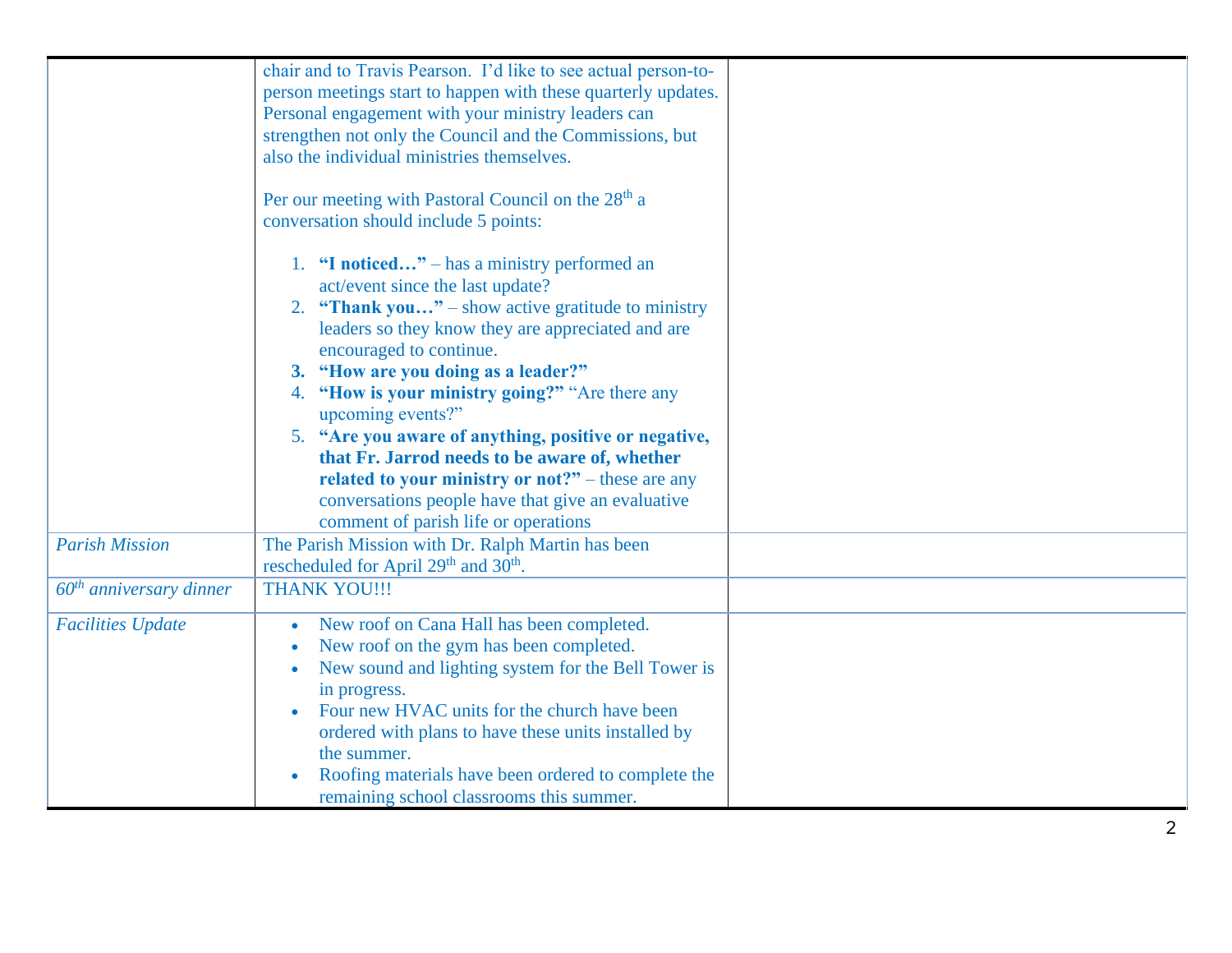|                           | chair and to Travis Pearson. I'd like to see actual person-to-  |  |
|---------------------------|-----------------------------------------------------------------|--|
|                           | person meetings start to happen with these quarterly updates.   |  |
|                           | Personal engagement with your ministry leaders can              |  |
|                           | strengthen not only the Council and the Commissions, but        |  |
|                           | also the individual ministries themselves.                      |  |
|                           |                                                                 |  |
|                           | Per our meeting with Pastoral Council on the 28 <sup>th</sup> a |  |
|                           | conversation should include 5 points:                           |  |
|                           |                                                                 |  |
|                           | 1. "I noticed" – has a ministry performed an                    |  |
|                           | act/event since the last update?                                |  |
|                           | 2. <b>"Thank you"</b> – show active gratitude to ministry       |  |
|                           | leaders so they know they are appreciated and are               |  |
|                           | encouraged to continue.                                         |  |
|                           | 3. "How are you doing as a leader?"                             |  |
|                           | 4. "How is your ministry going?" "Are there any                 |  |
|                           |                                                                 |  |
|                           | upcoming events?"                                               |  |
|                           | 5. "Are you aware of anything, positive or negative,            |  |
|                           | that Fr. Jarrod needs to be aware of, whether                   |  |
|                           | related to your ministry or $not?$ " – these are any            |  |
|                           | conversations people have that give an evaluative               |  |
|                           | comment of parish life or operations                            |  |
| <b>Parish Mission</b>     | The Parish Mission with Dr. Ralph Martin has been               |  |
|                           | rescheduled for April 29 <sup>th</sup> and 30 <sup>th</sup> .   |  |
| $60th$ anniversary dinner | <b>THANK YOU!!!</b>                                             |  |
|                           |                                                                 |  |
| <b>Facilities Update</b>  | New roof on Cana Hall has been completed.                       |  |
|                           | New roof on the gym has been completed.                         |  |
|                           | New sound and lighting system for the Bell Tower is             |  |
|                           | in progress.                                                    |  |
|                           | Four new HVAC units for the church have been                    |  |
|                           | ordered with plans to have these units installed by             |  |
|                           | the summer.                                                     |  |
|                           |                                                                 |  |
|                           | Roofing materials have been ordered to complete the             |  |
|                           | remaining school classrooms this summer.                        |  |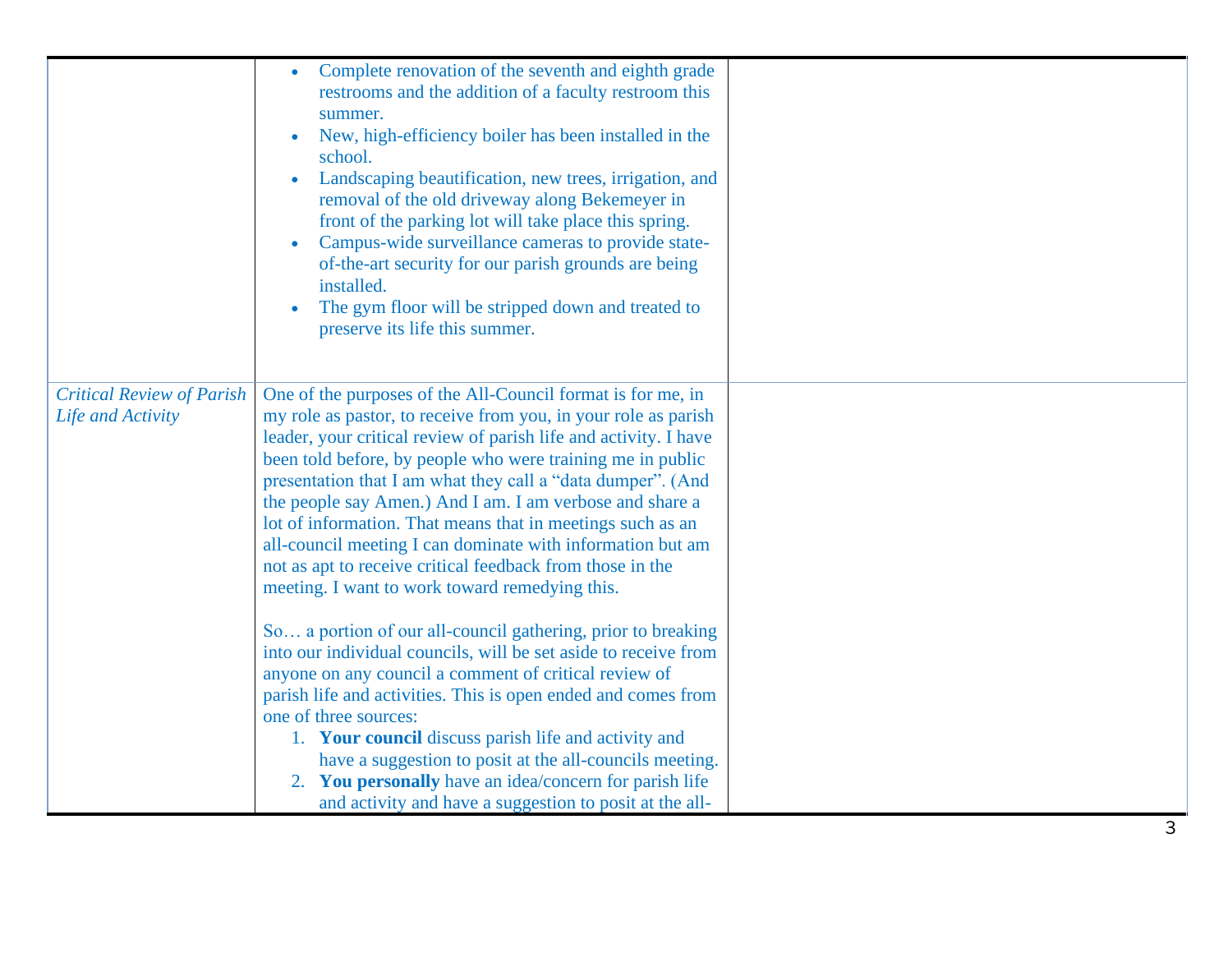|                                                       | Complete renovation of the seventh and eighth grade<br>restrooms and the addition of a faculty restroom this<br>summer.<br>New, high-efficiency boiler has been installed in the<br>school.<br>Landscaping beautification, new trees, irrigation, and<br>removal of the old driveway along Bekemeyer in<br>front of the parking lot will take place this spring.<br>Campus-wide surveillance cameras to provide state-<br>of-the-art security for our parish grounds are being<br>installed.<br>The gym floor will be stripped down and treated to<br>preserve its life this summer.                                                  |  |
|-------------------------------------------------------|---------------------------------------------------------------------------------------------------------------------------------------------------------------------------------------------------------------------------------------------------------------------------------------------------------------------------------------------------------------------------------------------------------------------------------------------------------------------------------------------------------------------------------------------------------------------------------------------------------------------------------------|--|
| <b>Critical Review of Parish</b><br>Life and Activity | One of the purposes of the All-Council format is for me, in<br>my role as pastor, to receive from you, in your role as parish<br>leader, your critical review of parish life and activity. I have<br>been told before, by people who were training me in public<br>presentation that I am what they call a "data dumper". (And<br>the people say Amen.) And I am. I am verbose and share a<br>lot of information. That means that in meetings such as an<br>all-council meeting I can dominate with information but am<br>not as apt to receive critical feedback from those in the<br>meeting. I want to work toward remedying this. |  |
|                                                       | So a portion of our all-council gathering, prior to breaking<br>into our individual councils, will be set aside to receive from<br>anyone on any council a comment of critical review of<br>parish life and activities. This is open ended and comes from<br>one of three sources:<br>1. Your council discuss parish life and activity and<br>have a suggestion to posit at the all-councils meeting.<br>2. You personally have an idea/concern for parish life<br>and activity and have a suggestion to posit at the all-                                                                                                            |  |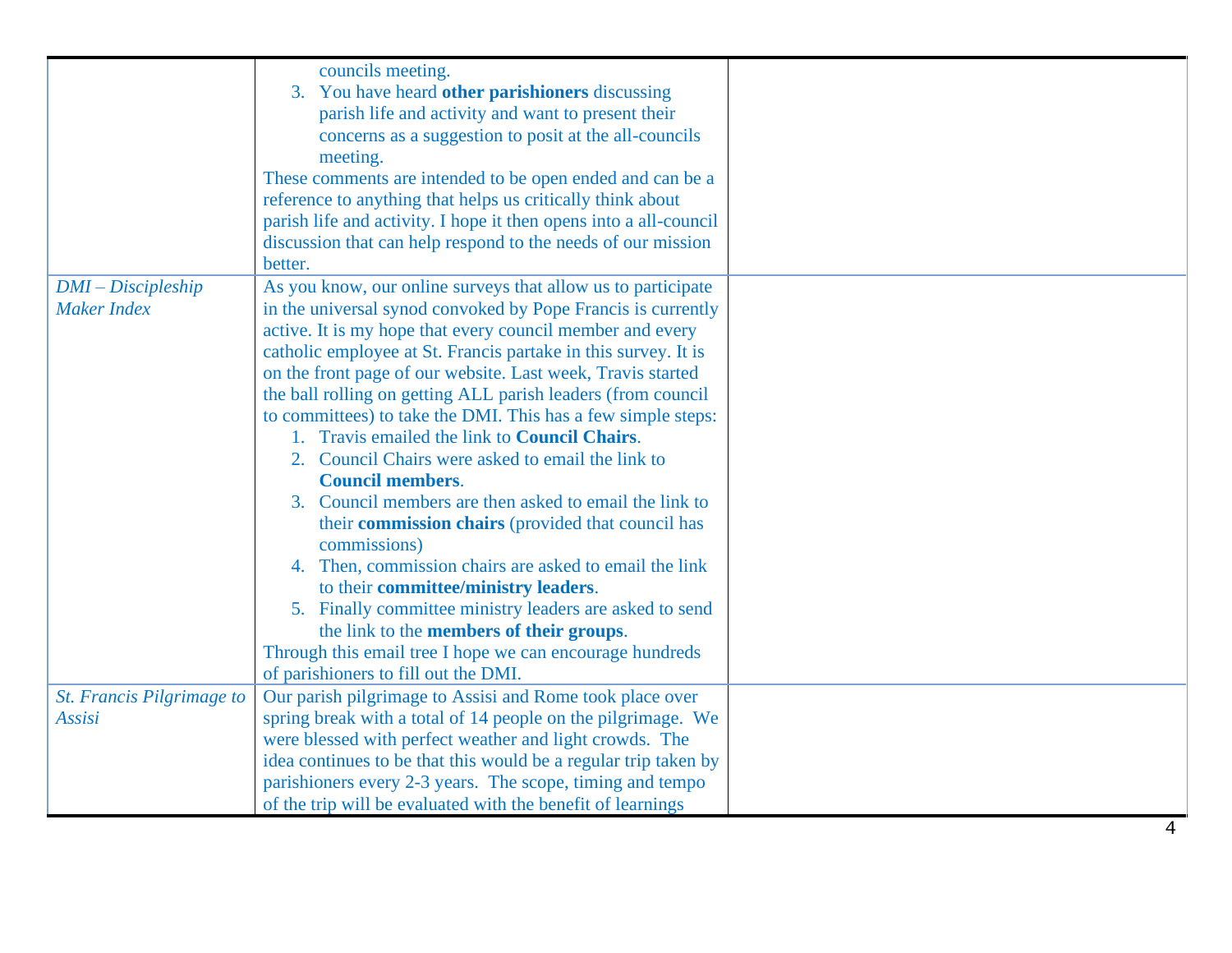|                           | councils meeting.                                                 |  |
|---------------------------|-------------------------------------------------------------------|--|
|                           | 3. You have heard other parishioners discussing                   |  |
|                           | parish life and activity and want to present their                |  |
|                           | concerns as a suggestion to posit at the all-councils             |  |
|                           | meeting.                                                          |  |
|                           | These comments are intended to be open ended and can be a         |  |
|                           | reference to anything that helps us critically think about        |  |
|                           | parish life and activity. I hope it then opens into a all-council |  |
|                           | discussion that can help respond to the needs of our mission      |  |
|                           | better.                                                           |  |
| $DMI - Discipleship$      | As you know, our online surveys that allow us to participate      |  |
| <b>Maker Index</b>        | in the universal synod convoked by Pope Francis is currently      |  |
|                           | active. It is my hope that every council member and every         |  |
|                           | catholic employee at St. Francis partake in this survey. It is    |  |
|                           | on the front page of our website. Last week, Travis started       |  |
|                           | the ball rolling on getting ALL parish leaders (from council      |  |
|                           | to committees) to take the DMI. This has a few simple steps:      |  |
|                           | 1. Travis emailed the link to <b>Council Chairs</b> .             |  |
|                           | 2. Council Chairs were asked to email the link to                 |  |
|                           | <b>Council members.</b>                                           |  |
|                           | 3. Council members are then asked to email the link to            |  |
|                           | their commission chairs (provided that council has                |  |
|                           | commissions)                                                      |  |
|                           | 4. Then, commission chairs are asked to email the link            |  |
|                           | to their committee/ministry leaders.                              |  |
|                           | 5. Finally committee ministry leaders are asked to send           |  |
|                           | the link to the <b>members of their groups</b> .                  |  |
|                           | Through this email tree I hope we can encourage hundreds          |  |
|                           | of parishioners to fill out the DMI.                              |  |
| St. Francis Pilgrimage to | Our parish pilgrimage to Assisi and Rome took place over          |  |
| Assisi                    | spring break with a total of 14 people on the pilgrimage. We      |  |
|                           | were blessed with perfect weather and light crowds. The           |  |
|                           | idea continues to be that this would be a regular trip taken by   |  |
|                           | parishioners every 2-3 years. The scope, timing and tempo         |  |
|                           | of the trip will be evaluated with the benefit of learnings       |  |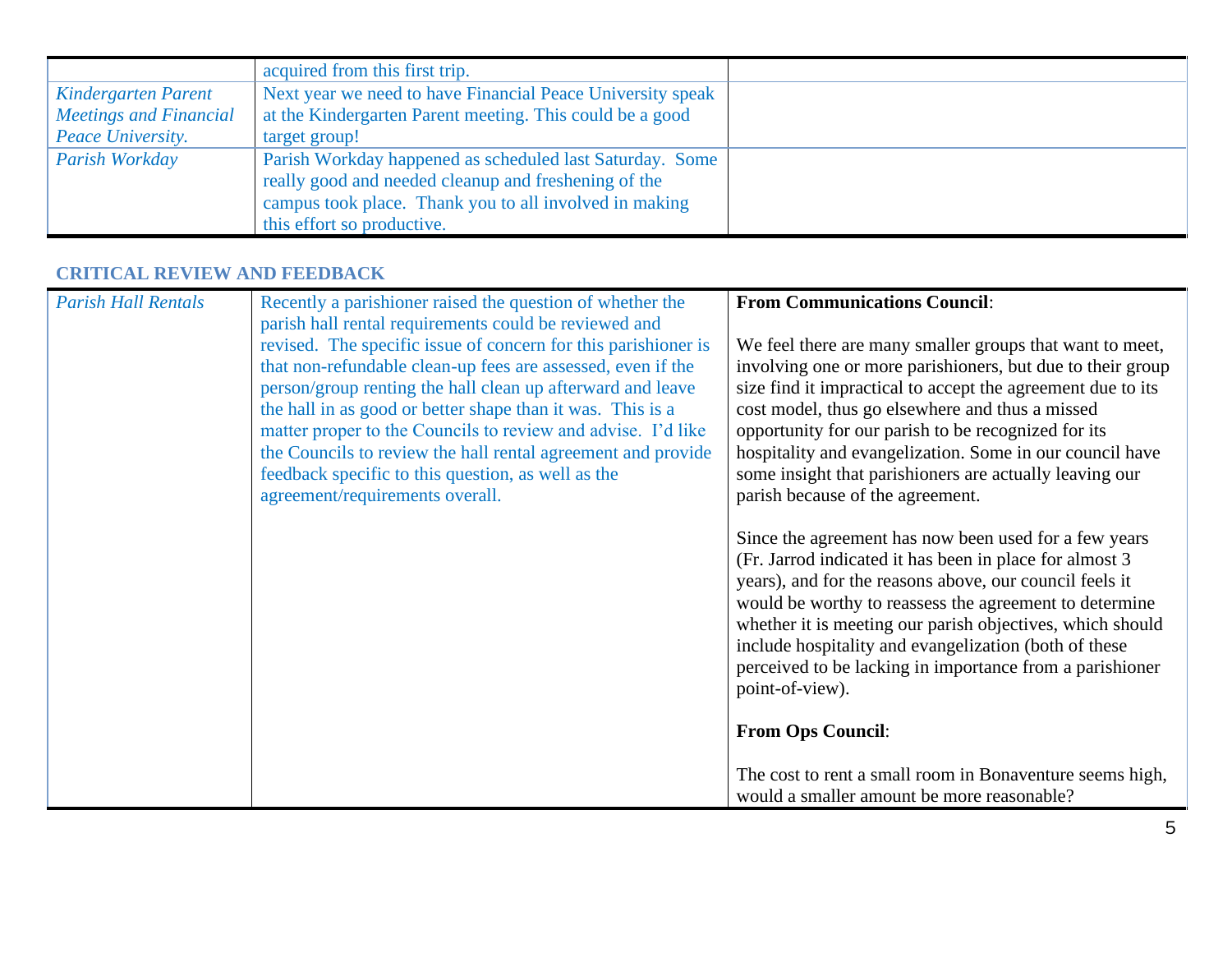|                               | acquired from this first trip.                             |  |
|-------------------------------|------------------------------------------------------------|--|
| Kindergarten Parent           | Next year we need to have Financial Peace University speak |  |
| <b>Meetings and Financial</b> | at the Kindergarten Parent meeting. This could be a good   |  |
| Peace University.             | target group!                                              |  |
| Parish Workday                | Parish Workday happened as scheduled last Saturday. Some   |  |
|                               | really good and needed cleanup and freshening of the       |  |
|                               | campus took place. Thank you to all involved in making     |  |
|                               | this effort so productive.                                 |  |

### **CRITICAL REVIEW AND FEEDBACK**

| <b>Parish Hall Rentals</b> | Recently a parishioner raised the question of whether the                             | <b>From Communications Council:</b>                                                                                                                                                                                                                                                                                                                                                                                                         |
|----------------------------|---------------------------------------------------------------------------------------|---------------------------------------------------------------------------------------------------------------------------------------------------------------------------------------------------------------------------------------------------------------------------------------------------------------------------------------------------------------------------------------------------------------------------------------------|
|                            | parish hall rental requirements could be reviewed and                                 |                                                                                                                                                                                                                                                                                                                                                                                                                                             |
|                            | revised. The specific issue of concern for this parishioner is                        | We feel there are many smaller groups that want to meet,                                                                                                                                                                                                                                                                                                                                                                                    |
|                            | that non-refundable clean-up fees are assessed, even if the                           | involving one or more parishioners, but due to their group                                                                                                                                                                                                                                                                                                                                                                                  |
|                            | person/group renting the hall clean up afterward and leave                            | size find it impractical to accept the agreement due to its                                                                                                                                                                                                                                                                                                                                                                                 |
|                            | the hall in as good or better shape than it was. This is a                            | cost model, thus go elsewhere and thus a missed                                                                                                                                                                                                                                                                                                                                                                                             |
|                            | matter proper to the Councils to review and advise. I'd like                          | opportunity for our parish to be recognized for its                                                                                                                                                                                                                                                                                                                                                                                         |
|                            | the Councils to review the hall rental agreement and provide                          | hospitality and evangelization. Some in our council have                                                                                                                                                                                                                                                                                                                                                                                    |
|                            | feedback specific to this question, as well as the<br>agreement/requirements overall. | some insight that parishioners are actually leaving our<br>parish because of the agreement.                                                                                                                                                                                                                                                                                                                                                 |
|                            |                                                                                       |                                                                                                                                                                                                                                                                                                                                                                                                                                             |
|                            |                                                                                       | Since the agreement has now been used for a few years<br>(Fr. Jarrod indicated it has been in place for almost 3)<br>years), and for the reasons above, our council feels it<br>would be worthy to reassess the agreement to determine<br>whether it is meeting our parish objectives, which should<br>include hospitality and evangelization (both of these<br>perceived to be lacking in importance from a parishioner<br>point-of-view). |
|                            |                                                                                       | <b>From Ops Council:</b>                                                                                                                                                                                                                                                                                                                                                                                                                    |
|                            |                                                                                       | The cost to rent a small room in Bonaventure seems high,<br>would a smaller amount be more reasonable?                                                                                                                                                                                                                                                                                                                                      |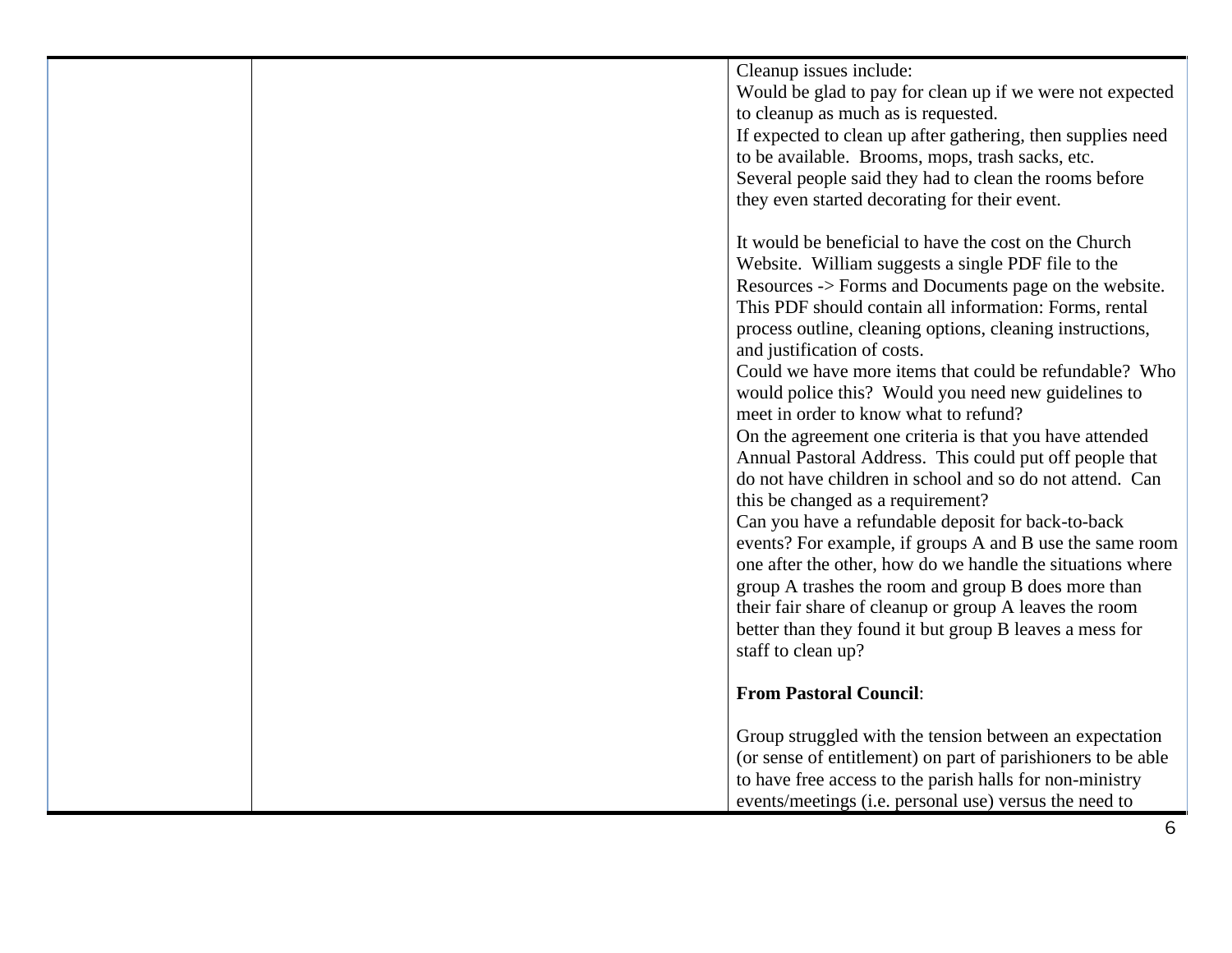| Cleanup issues include:                                      |
|--------------------------------------------------------------|
| Would be glad to pay for clean up if we were not expected    |
| to cleanup as much as is requested.                          |
| If expected to clean up after gathering, then supplies need  |
| to be available. Brooms, mops, trash sacks, etc.             |
| Several people said they had to clean the rooms before       |
| they even started decorating for their event.                |
|                                                              |
| It would be beneficial to have the cost on the Church        |
| Website. William suggests a single PDF file to the           |
| Resources -> Forms and Documents page on the website.        |
| This PDF should contain all information: Forms, rental       |
|                                                              |
| process outline, cleaning options, cleaning instructions,    |
| and justification of costs.                                  |
| Could we have more items that could be refundable? Who       |
| would police this? Would you need new guidelines to          |
| meet in order to know what to refund?                        |
| On the agreement one criteria is that you have attended      |
| Annual Pastoral Address. This could put off people that      |
| do not have children in school and so do not attend. Can     |
| this be changed as a requirement?                            |
| Can you have a refundable deposit for back-to-back           |
| events? For example, if groups A and B use the same room     |
| one after the other, how do we handle the situations where   |
| group A trashes the room and group B does more than          |
| their fair share of cleanup or group A leaves the room       |
| better than they found it but group B leaves a mess for      |
| staff to clean up?                                           |
|                                                              |
| <b>From Pastoral Council:</b>                                |
|                                                              |
|                                                              |
| Group struggled with the tension between an expectation      |
| (or sense of entitlement) on part of parishioners to be able |
| to have free access to the parish halls for non-ministry     |
| events/meetings (i.e. personal use) versus the need to       |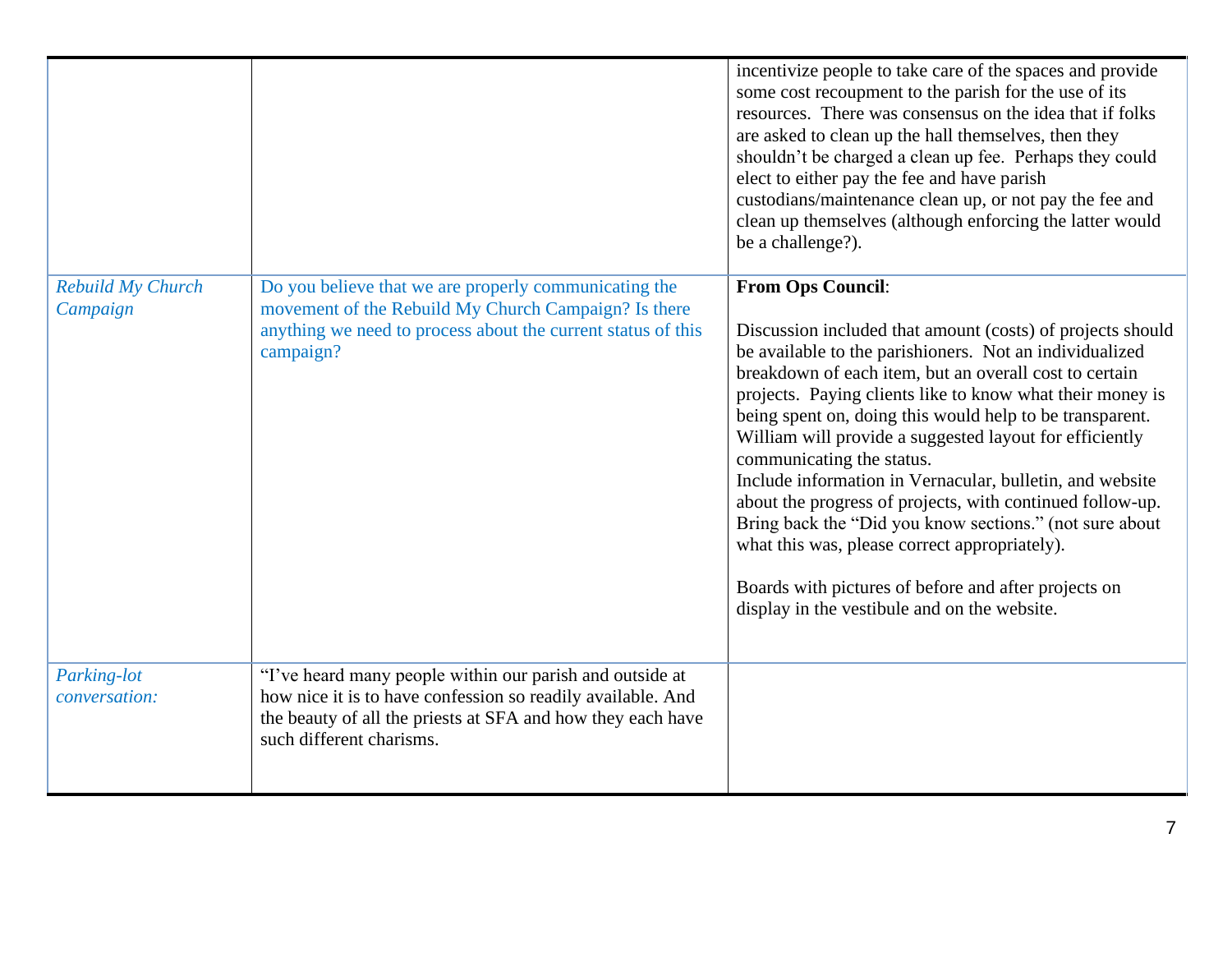|                                     |                                                                                                                                                                                                                    | incentivize people to take care of the spaces and provide<br>some cost recoupment to the parish for the use of its<br>resources. There was consensus on the idea that if folks<br>are asked to clean up the hall themselves, then they<br>shouldn't be charged a clean up fee. Perhaps they could<br>elect to either pay the fee and have parish<br>custodians/maintenance clean up, or not pay the fee and<br>clean up themselves (although enforcing the latter would<br>be a challenge?).                                                                                                                                                                                                                                                                              |
|-------------------------------------|--------------------------------------------------------------------------------------------------------------------------------------------------------------------------------------------------------------------|---------------------------------------------------------------------------------------------------------------------------------------------------------------------------------------------------------------------------------------------------------------------------------------------------------------------------------------------------------------------------------------------------------------------------------------------------------------------------------------------------------------------------------------------------------------------------------------------------------------------------------------------------------------------------------------------------------------------------------------------------------------------------|
| Rebuild My Church<br>Campaign       | Do you believe that we are properly communicating the<br>movement of the Rebuild My Church Campaign? Is there<br>anything we need to process about the current status of this<br>campaign?                         | <b>From Ops Council:</b><br>Discussion included that amount (costs) of projects should<br>be available to the parishioners. Not an individualized<br>breakdown of each item, but an overall cost to certain<br>projects. Paying clients like to know what their money is<br>being spent on, doing this would help to be transparent.<br>William will provide a suggested layout for efficiently<br>communicating the status.<br>Include information in Vernacular, bulletin, and website<br>about the progress of projects, with continued follow-up.<br>Bring back the "Did you know sections." (not sure about<br>what this was, please correct appropriately).<br>Boards with pictures of before and after projects on<br>display in the vestibule and on the website. |
| Parking-lot<br><i>conversation:</i> | "I've heard many people within our parish and outside at<br>how nice it is to have confession so readily available. And<br>the beauty of all the priests at SFA and how they each have<br>such different charisms. |                                                                                                                                                                                                                                                                                                                                                                                                                                                                                                                                                                                                                                                                                                                                                                           |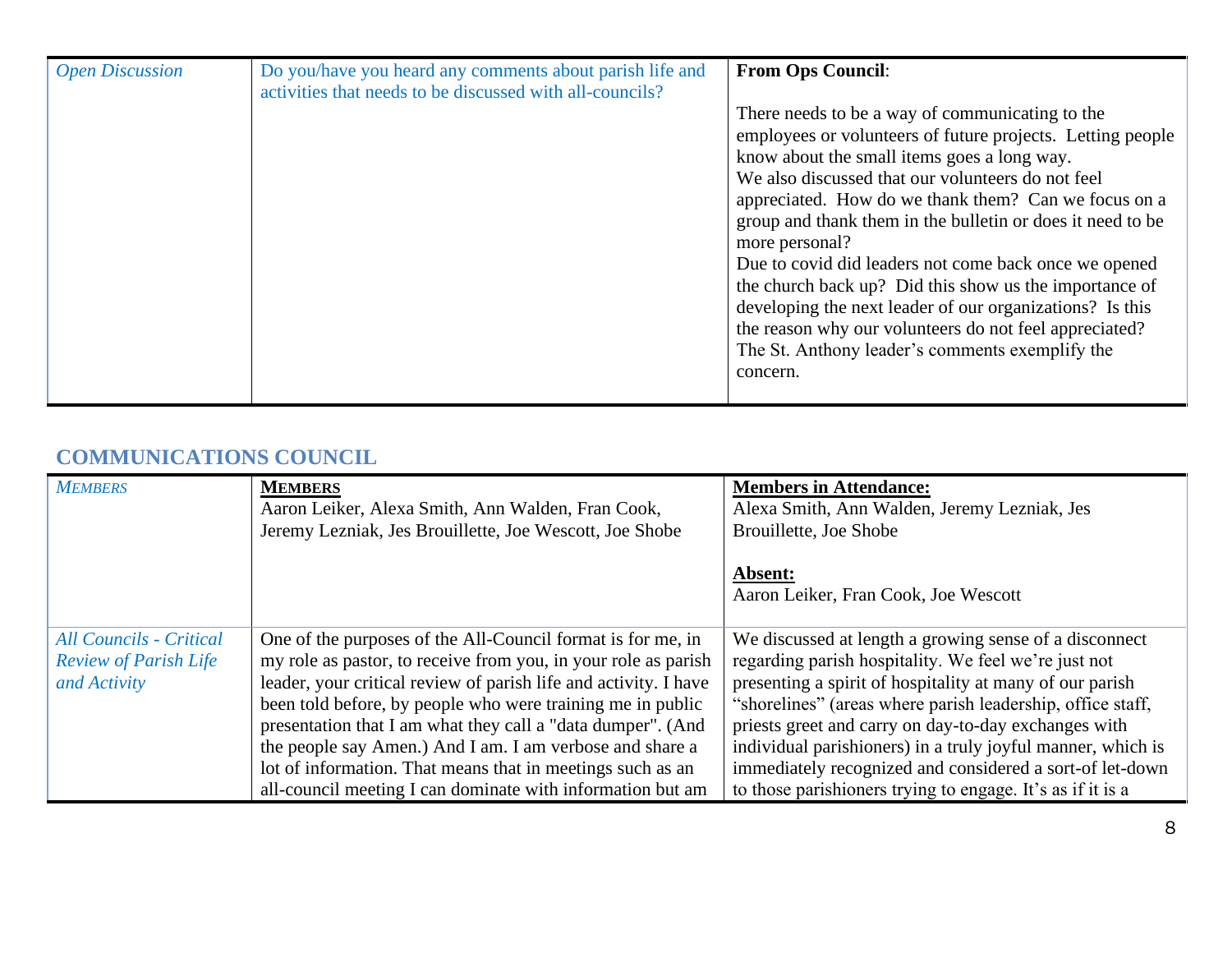| <b>Open Discussion</b> | Do you/have you heard any comments about parish life and<br>activities that needs to be discussed with all-councils? | <b>From Ops Council:</b>                                                                                      |
|------------------------|----------------------------------------------------------------------------------------------------------------------|---------------------------------------------------------------------------------------------------------------|
|                        |                                                                                                                      | There needs to be a way of communicating to the<br>employees or volunteers of future projects. Letting people |
|                        |                                                                                                                      | know about the small items goes a long way.                                                                   |
|                        |                                                                                                                      | We also discussed that our volunteers do not feel                                                             |
|                        |                                                                                                                      | appreciated. How do we thank them? Can we focus on a                                                          |
|                        |                                                                                                                      | group and thank them in the bulletin or does it need to be                                                    |
|                        |                                                                                                                      | more personal?                                                                                                |
|                        |                                                                                                                      | Due to covid did leaders not come back once we opened                                                         |
|                        |                                                                                                                      | the church back up? Did this show us the importance of                                                        |
|                        |                                                                                                                      | developing the next leader of our organizations? Is this                                                      |
|                        |                                                                                                                      | the reason why our volunteers do not feel appreciated?                                                        |
|                        |                                                                                                                      | The St. Anthony leader's comments exemplify the                                                               |
|                        |                                                                                                                      | concern.                                                                                                      |
|                        |                                                                                                                      |                                                                                                               |

### **COMMUNICATIONS COUNCIL**

| <b>MEMBERS</b>                                                                 | <b>MEMBERS</b><br>Aaron Leiker, Alexa Smith, Ann Walden, Fran Cook,<br>Jeremy Lezniak, Jes Brouillette, Joe Wescott, Joe Shobe                                                                                                                                                                                                                                                                                                                                                                                         | <b>Members in Attendance:</b><br>Alexa Smith, Ann Walden, Jeremy Lezniak, Jes<br>Brouillette, Joe Shobe<br>Absent:<br>Aaron Leiker, Fran Cook, Joe Wescott                                                                                                                                                                                                                                                                                                                                |
|--------------------------------------------------------------------------------|------------------------------------------------------------------------------------------------------------------------------------------------------------------------------------------------------------------------------------------------------------------------------------------------------------------------------------------------------------------------------------------------------------------------------------------------------------------------------------------------------------------------|-------------------------------------------------------------------------------------------------------------------------------------------------------------------------------------------------------------------------------------------------------------------------------------------------------------------------------------------------------------------------------------------------------------------------------------------------------------------------------------------|
| <b>All Councils - Critical</b><br><b>Review of Parish Life</b><br>and Activity | One of the purposes of the All-Council format is for me, in<br>my role as pastor, to receive from you, in your role as parish<br>leader, your critical review of parish life and activity. I have<br>been told before, by people who were training me in public<br>presentation that I am what they call a "data dumper". (And<br>the people say Amen.) And I am. I am verbose and share a<br>lot of information. That means that in meetings such as an<br>all-council meeting I can dominate with information but am | We discussed at length a growing sense of a disconnect<br>regarding parish hospitality. We feel we're just not<br>presenting a spirit of hospitality at many of our parish<br>"shorelines" (areas where parish leadership, office staff,<br>priests greet and carry on day-to-day exchanges with<br>individual parishioners) in a truly joyful manner, which is<br>immediately recognized and considered a sort-of let-down<br>to those parishioners trying to engage. It's as if it is a |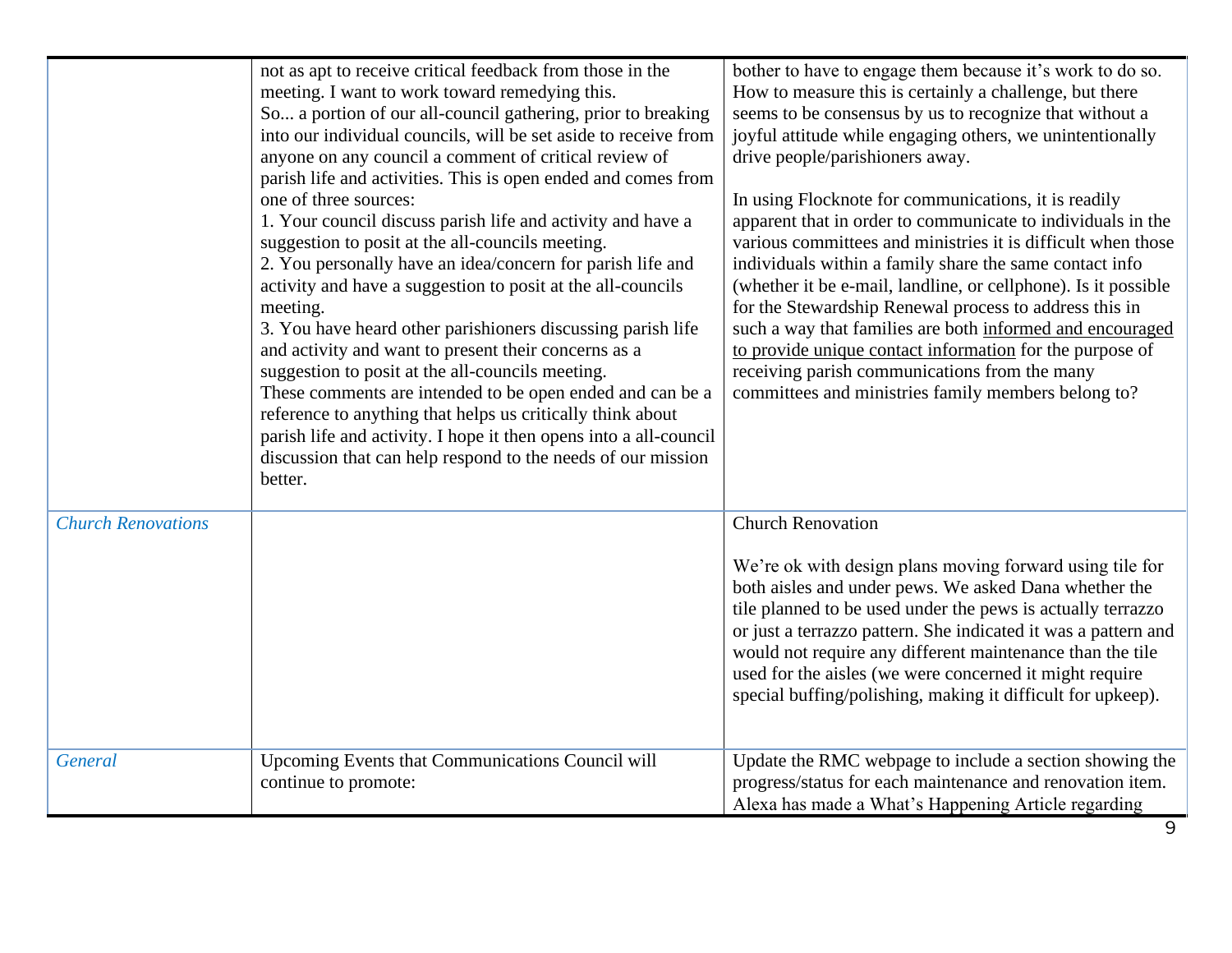|                           | not as apt to receive critical feedback from those in the<br>meeting. I want to work toward remedying this.<br>So a portion of our all-council gathering, prior to breaking<br>into our individual councils, will be set aside to receive from<br>anyone on any council a comment of critical review of<br>parish life and activities. This is open ended and comes from<br>one of three sources:<br>1. Your council discuss parish life and activity and have a<br>suggestion to posit at the all-councils meeting.<br>2. You personally have an idea/concern for parish life and<br>activity and have a suggestion to posit at the all-councils<br>meeting.<br>3. You have heard other parishioners discussing parish life<br>and activity and want to present their concerns as a<br>suggestion to posit at the all-councils meeting.<br>These comments are intended to be open ended and can be a<br>reference to anything that helps us critically think about<br>parish life and activity. I hope it then opens into a all-council<br>discussion that can help respond to the needs of our mission<br>better. | bother to have to engage them because it's work to do so.<br>How to measure this is certainly a challenge, but there<br>seems to be consensus by us to recognize that without a<br>joyful attitude while engaging others, we unintentionally<br>drive people/parishioners away.<br>In using Flocknote for communications, it is readily<br>apparent that in order to communicate to individuals in the<br>various committees and ministries it is difficult when those<br>individuals within a family share the same contact info<br>(whether it be e-mail, landline, or cellphone). Is it possible<br>for the Stewardship Renewal process to address this in<br>such a way that families are both informed and encouraged<br>to provide unique contact information for the purpose of<br>receiving parish communications from the many<br>committees and ministries family members belong to? |
|---------------------------|---------------------------------------------------------------------------------------------------------------------------------------------------------------------------------------------------------------------------------------------------------------------------------------------------------------------------------------------------------------------------------------------------------------------------------------------------------------------------------------------------------------------------------------------------------------------------------------------------------------------------------------------------------------------------------------------------------------------------------------------------------------------------------------------------------------------------------------------------------------------------------------------------------------------------------------------------------------------------------------------------------------------------------------------------------------------------------------------------------------------|------------------------------------------------------------------------------------------------------------------------------------------------------------------------------------------------------------------------------------------------------------------------------------------------------------------------------------------------------------------------------------------------------------------------------------------------------------------------------------------------------------------------------------------------------------------------------------------------------------------------------------------------------------------------------------------------------------------------------------------------------------------------------------------------------------------------------------------------------------------------------------------------|
| <b>Church Renovations</b> |                                                                                                                                                                                                                                                                                                                                                                                                                                                                                                                                                                                                                                                                                                                                                                                                                                                                                                                                                                                                                                                                                                                     | <b>Church Renovation</b><br>We're ok with design plans moving forward using tile for<br>both aisles and under pews. We asked Dana whether the<br>tile planned to be used under the pews is actually terrazzo<br>or just a terrazzo pattern. She indicated it was a pattern and<br>would not require any different maintenance than the tile<br>used for the aisles (we were concerned it might require<br>special buffing/polishing, making it difficult for upkeep).                                                                                                                                                                                                                                                                                                                                                                                                                          |
| General                   | Upcoming Events that Communications Council will<br>continue to promote:                                                                                                                                                                                                                                                                                                                                                                                                                                                                                                                                                                                                                                                                                                                                                                                                                                                                                                                                                                                                                                            | Update the RMC webpage to include a section showing the<br>progress/status for each maintenance and renovation item.<br>Alexa has made a What's Happening Article regarding                                                                                                                                                                                                                                                                                                                                                                                                                                                                                                                                                                                                                                                                                                                    |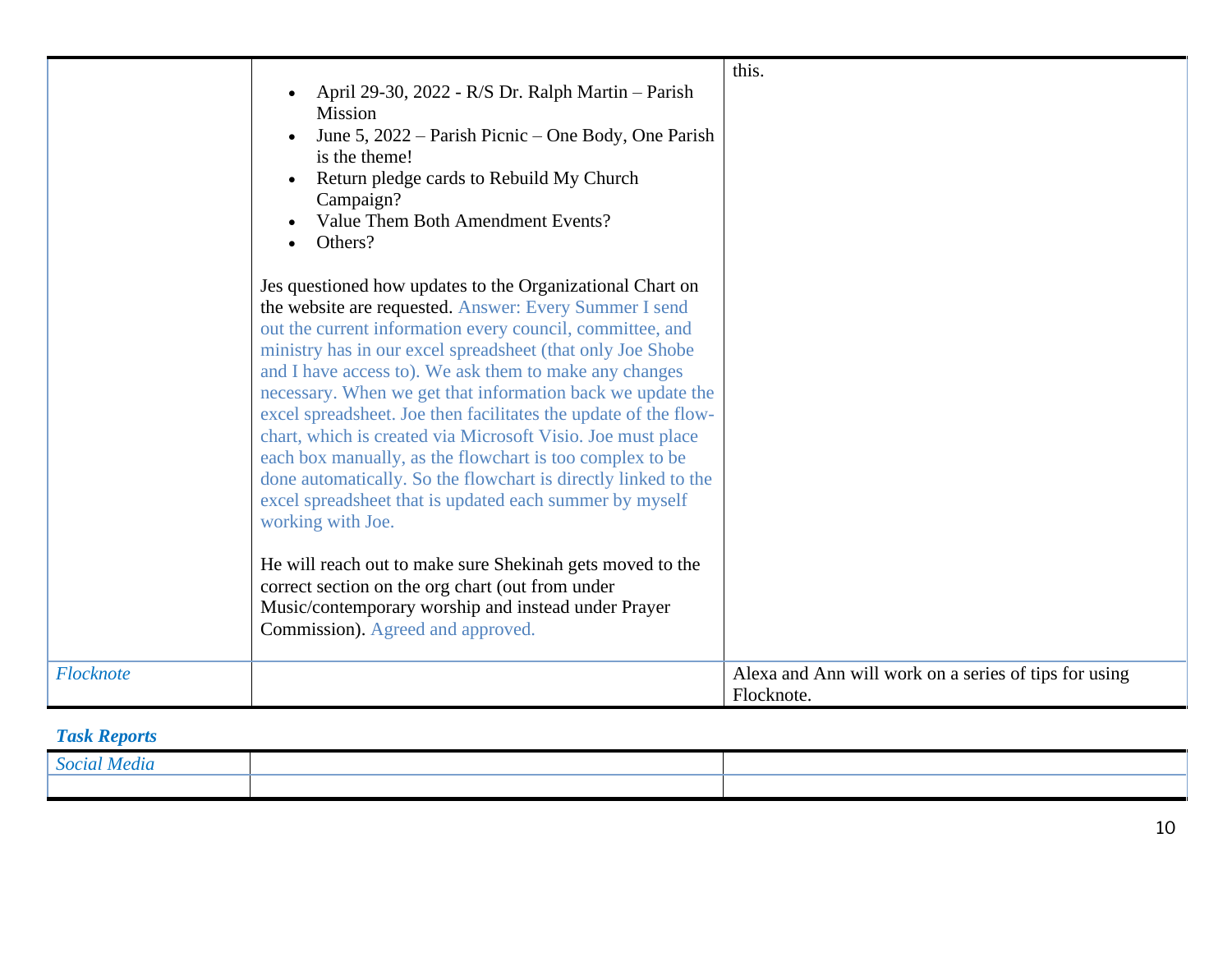|           | April 29-30, 2022 - R/S Dr. Ralph Martin - Parish<br><b>Mission</b><br>June 5, 2022 – Parish Picnic – One Body, One Parish<br>is the theme!<br>Return pledge cards to Rebuild My Church<br>Campaign?<br>Value Them Both Amendment Events?<br>Others?                                                                                                                                                                                                                                                                                                                                                                                                                                                                   | this.                                                               |
|-----------|------------------------------------------------------------------------------------------------------------------------------------------------------------------------------------------------------------------------------------------------------------------------------------------------------------------------------------------------------------------------------------------------------------------------------------------------------------------------------------------------------------------------------------------------------------------------------------------------------------------------------------------------------------------------------------------------------------------------|---------------------------------------------------------------------|
|           | Jes questioned how updates to the Organizational Chart on<br>the website are requested. Answer: Every Summer I send<br>out the current information every council, committee, and<br>ministry has in our excel spreadsheet (that only Joe Shobe<br>and I have access to). We ask them to make any changes<br>necessary. When we get that information back we update the<br>excel spreadsheet. Joe then facilitates the update of the flow-<br>chart, which is created via Microsoft Visio. Joe must place<br>each box manually, as the flowchart is too complex to be<br>done automatically. So the flowchart is directly linked to the<br>excel spreadsheet that is updated each summer by myself<br>working with Joe. |                                                                     |
|           | He will reach out to make sure Shekinah gets moved to the<br>correct section on the org chart (out from under<br>Music/contemporary worship and instead under Prayer<br>Commission). Agreed and approved.                                                                                                                                                                                                                                                                                                                                                                                                                                                                                                              |                                                                     |
| Flocknote |                                                                                                                                                                                                                                                                                                                                                                                                                                                                                                                                                                                                                                                                                                                        | Alexa and Ann will work on a series of tips for using<br>Flocknote. |

## *Task Reports*

| $^{\circ}$ ocial .<br>меаи. |  |
|-----------------------------|--|
|                             |  |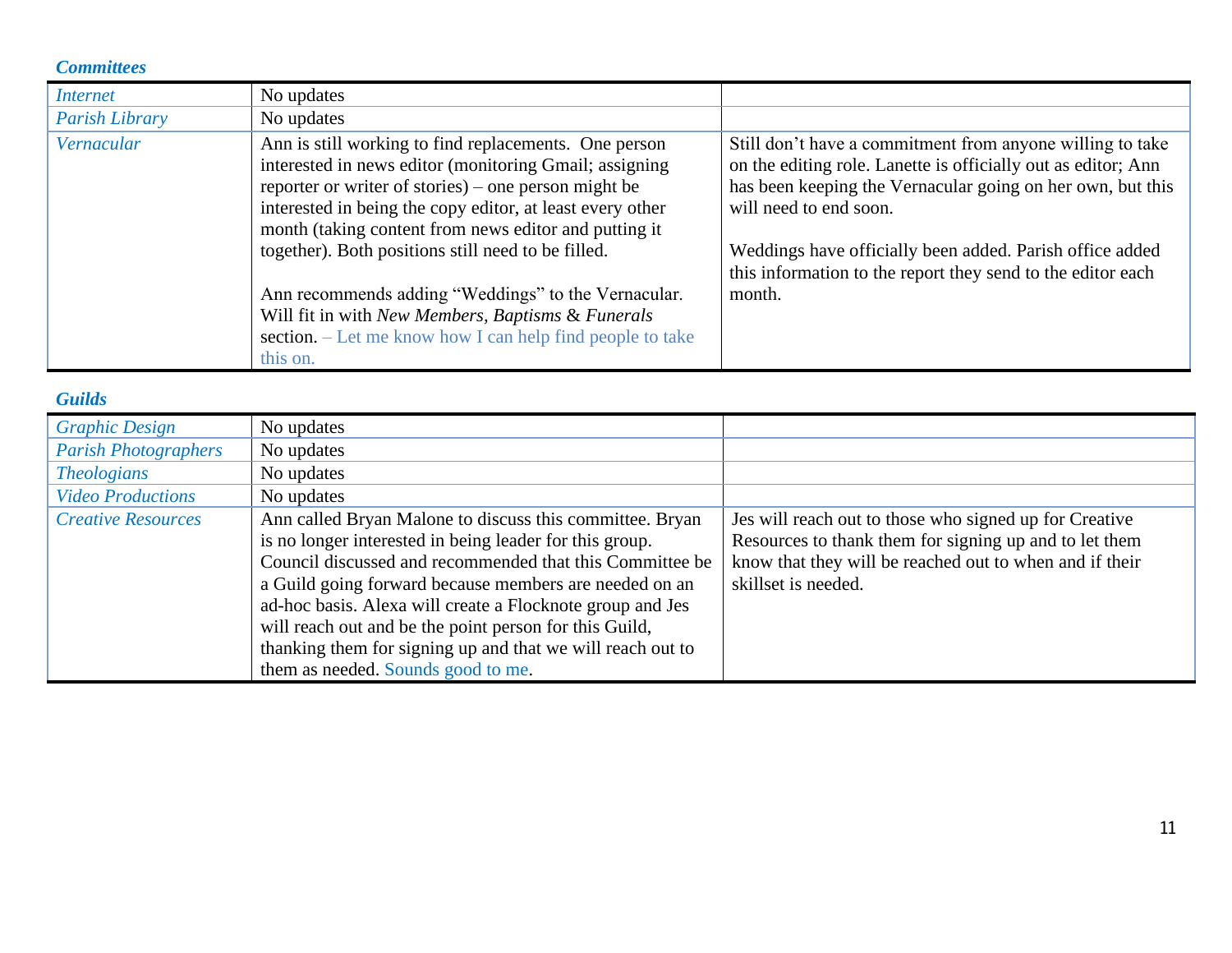#### *Committees*

| <i>Internet</i>       | No updates                                                                                                                                                                                                                                                                                                                                                                                                                                                                                                                               |                                                                                                                                                                                                                                                                                                                                                         |
|-----------------------|------------------------------------------------------------------------------------------------------------------------------------------------------------------------------------------------------------------------------------------------------------------------------------------------------------------------------------------------------------------------------------------------------------------------------------------------------------------------------------------------------------------------------------------|---------------------------------------------------------------------------------------------------------------------------------------------------------------------------------------------------------------------------------------------------------------------------------------------------------------------------------------------------------|
| <b>Parish Library</b> | No updates                                                                                                                                                                                                                                                                                                                                                                                                                                                                                                                               |                                                                                                                                                                                                                                                                                                                                                         |
| Vernacular            | Ann is still working to find replacements. One person<br>interested in news editor (monitoring Gmail; assigning<br>reporter or writer of stories) – one person might be<br>interested in being the copy editor, at least every other<br>month (taking content from news editor and putting it<br>together). Both positions still need to be filled.<br>Ann recommends adding "Weddings" to the Vernacular.<br>Will fit in with New Members, Baptisms & Funerals<br>section. – Let me know how I can help find people to take<br>this on. | Still don't have a commitment from anyone willing to take<br>on the editing role. Lanette is officially out as editor; Ann<br>has been keeping the Vernacular going on her own, but this<br>will need to end soon.<br>Weddings have officially been added. Parish office added<br>this information to the report they send to the editor each<br>month. |

### *Guilds*

| <b>Graphic Design</b>       | No updates                                                                                                                                                                                                                                                                                                                                                                                                                                                           |                                                                                                                                                                                                    |
|-----------------------------|----------------------------------------------------------------------------------------------------------------------------------------------------------------------------------------------------------------------------------------------------------------------------------------------------------------------------------------------------------------------------------------------------------------------------------------------------------------------|----------------------------------------------------------------------------------------------------------------------------------------------------------------------------------------------------|
| <b>Parish Photographers</b> | No updates                                                                                                                                                                                                                                                                                                                                                                                                                                                           |                                                                                                                                                                                                    |
| <b>Theologians</b>          | No updates                                                                                                                                                                                                                                                                                                                                                                                                                                                           |                                                                                                                                                                                                    |
| <b>Video Productions</b>    | No updates                                                                                                                                                                                                                                                                                                                                                                                                                                                           |                                                                                                                                                                                                    |
| <b>Creative Resources</b>   | Ann called Bryan Malone to discuss this committee. Bryan<br>is no longer interested in being leader for this group.<br>Council discussed and recommended that this Committee be<br>a Guild going forward because members are needed on an<br>ad-hoc basis. Alexa will create a Flocknote group and Jes<br>will reach out and be the point person for this Guild,<br>thanking them for signing up and that we will reach out to<br>them as needed. Sounds good to me. | Jes will reach out to those who signed up for Creative<br>Resources to thank them for signing up and to let them<br>know that they will be reached out to when and if their<br>skillset is needed. |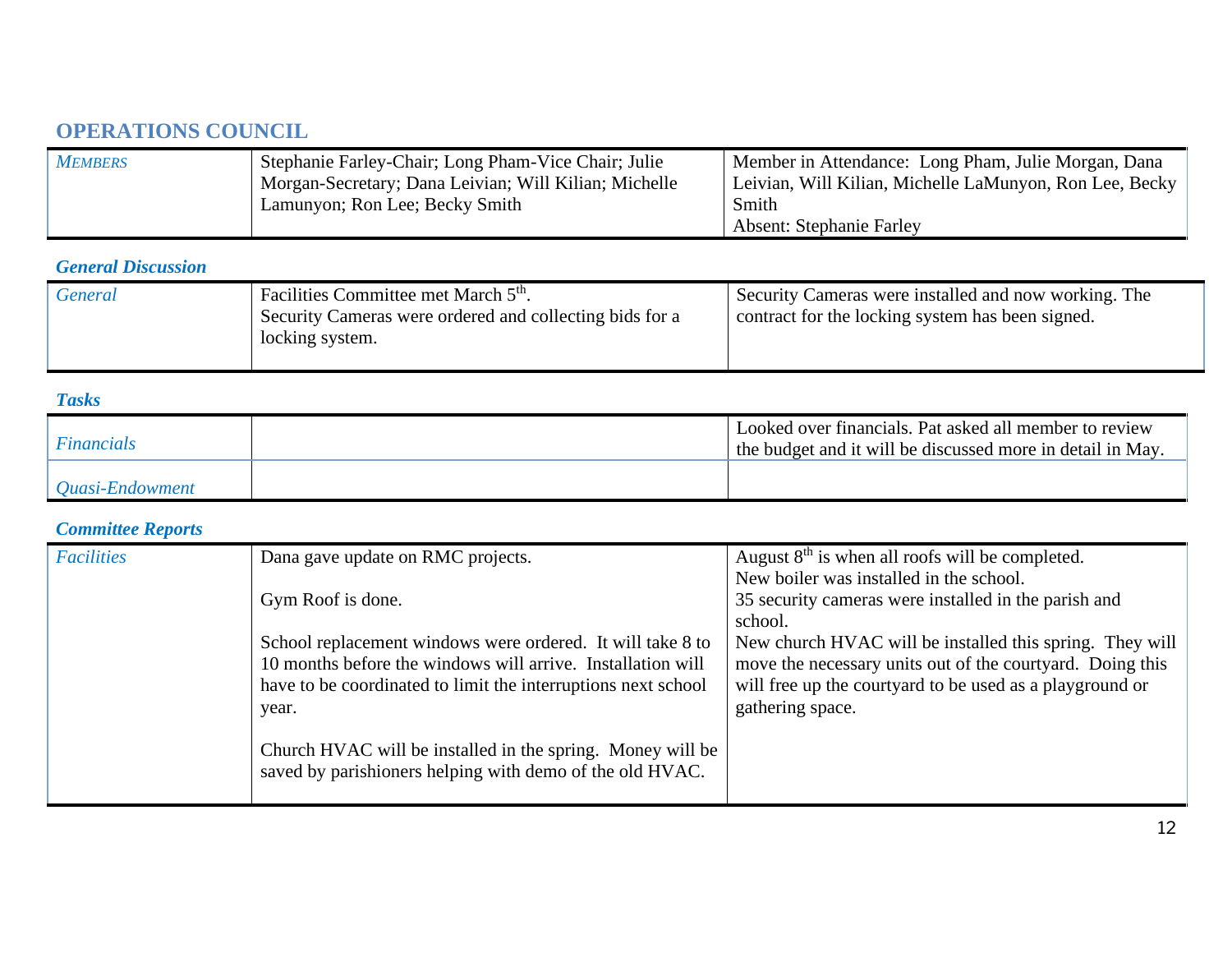## **OPERATIONS COUNCIL**

| <b>MEMBERS</b> | Stephanie Farley-Chair; Long Pham-Vice Chair; Julie   | Member in Attendance: Long Pham, Julie Morgan, Dana     |
|----------------|-------------------------------------------------------|---------------------------------------------------------|
|                | Morgan-Secretary; Dana Leivian; Will Kilian; Michelle | Leivian, Will Kilian, Michelle LaMunyon, Ron Lee, Becky |
|                | Lamunyon; Ron Lee; Becky Smith                        | Smith                                                   |
|                |                                                       | <b>Absent: Stephanie Farley</b>                         |

### *General Discussion*

| Facilities Committee met March 5 <sup>th</sup> .<br><b>General</b><br>Security Cameras were ordered and collecting bids for a<br>locking system. | Security Cameras were installed and now working. The<br>contract for the locking system has been signed. |
|--------------------------------------------------------------------------------------------------------------------------------------------------|----------------------------------------------------------------------------------------------------------|
|--------------------------------------------------------------------------------------------------------------------------------------------------|----------------------------------------------------------------------------------------------------------|

#### *Tasks*

| <i>Financials</i> | Looked over financials. Pat asked all member to review<br>the budget and it will be discussed more in detail in May. |
|-------------------|----------------------------------------------------------------------------------------------------------------------|
| Quasi-Endowment   |                                                                                                                      |

## *Committee Reports*

| <b>Facilities</b> | Dana gave update on RMC projects.                                                                                                                                                                   | August $8th$ is when all roofs will be completed.                                                                                                                                                     |
|-------------------|-----------------------------------------------------------------------------------------------------------------------------------------------------------------------------------------------------|-------------------------------------------------------------------------------------------------------------------------------------------------------------------------------------------------------|
|                   | Gym Roof is done.                                                                                                                                                                                   | New boiler was installed in the school.<br>35 security cameras were installed in the parish and                                                                                                       |
|                   |                                                                                                                                                                                                     | school.                                                                                                                                                                                               |
|                   | School replacement windows were ordered. It will take 8 to<br>10 months before the windows will arrive. Installation will<br>have to be coordinated to limit the interruptions next school<br>year. | New church HVAC will be installed this spring. They will<br>move the necessary units out of the courtyard. Doing this<br>will free up the courtyard to be used as a playground or<br>gathering space. |
|                   | Church HVAC will be installed in the spring. Money will be<br>saved by parishioners helping with demo of the old HVAC.                                                                              |                                                                                                                                                                                                       |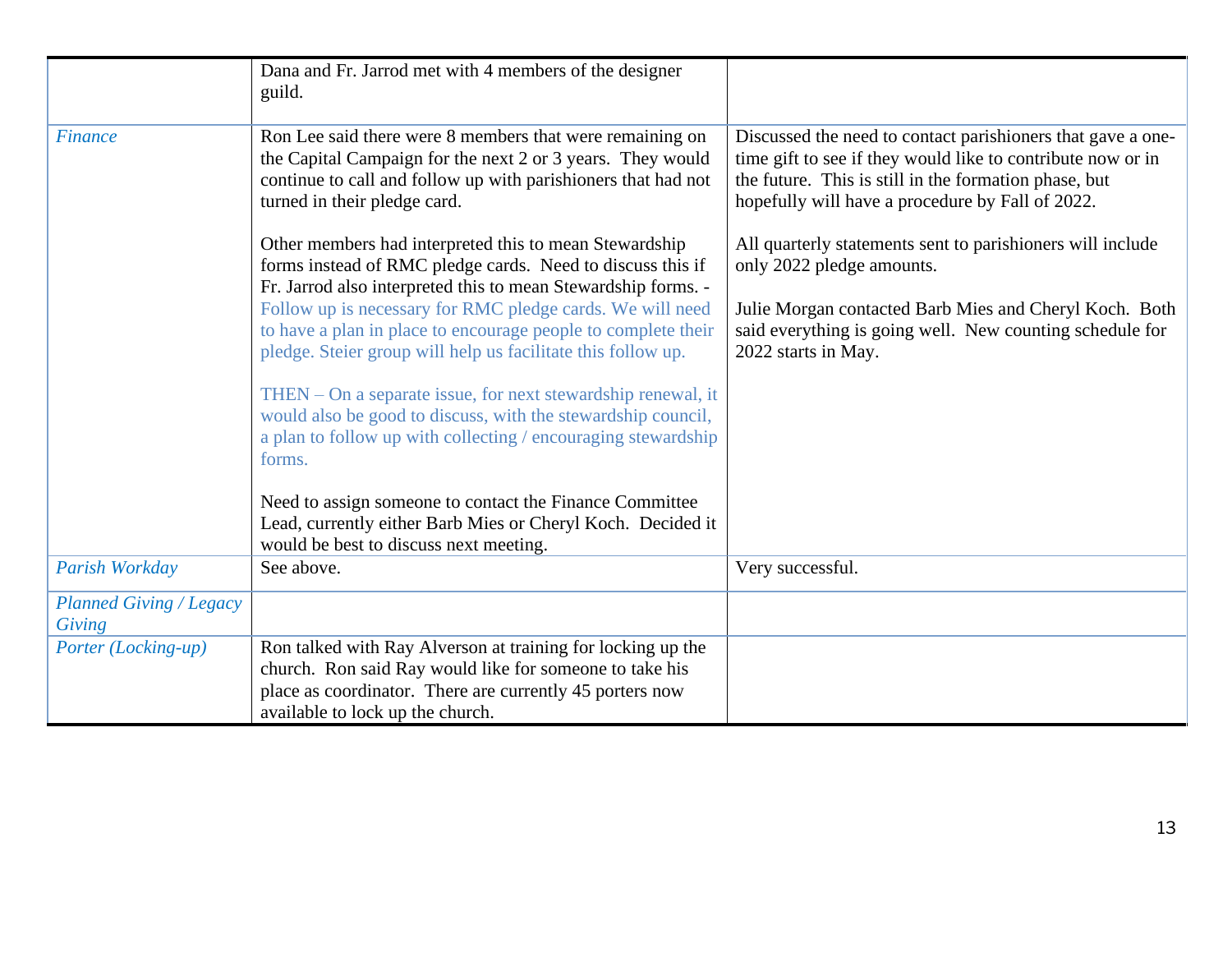|                                          | Dana and Fr. Jarrod met with 4 members of the designer<br>guild.                                                                                                                                                        |                                                                                                                                                                                                                                         |
|------------------------------------------|-------------------------------------------------------------------------------------------------------------------------------------------------------------------------------------------------------------------------|-----------------------------------------------------------------------------------------------------------------------------------------------------------------------------------------------------------------------------------------|
| <b>Finance</b>                           | Ron Lee said there were 8 members that were remaining on<br>the Capital Campaign for the next 2 or 3 years. They would<br>continue to call and follow up with parishioners that had not<br>turned in their pledge card. | Discussed the need to contact parishioners that gave a one-<br>time gift to see if they would like to contribute now or in<br>the future. This is still in the formation phase, but<br>hopefully will have a procedure by Fall of 2022. |
|                                          | Other members had interpreted this to mean Stewardship<br>forms instead of RMC pledge cards. Need to discuss this if<br>Fr. Jarrod also interpreted this to mean Stewardship forms. -                                   | All quarterly statements sent to parishioners will include<br>only 2022 pledge amounts.                                                                                                                                                 |
|                                          | Follow up is necessary for RMC pledge cards. We will need<br>to have a plan in place to encourage people to complete their<br>pledge. Steier group will help us facilitate this follow up.                              | Julie Morgan contacted Barb Mies and Cheryl Koch. Both<br>said everything is going well. New counting schedule for<br>2022 starts in May.                                                                                               |
|                                          | THEN – On a separate issue, for next stewardship renewal, it<br>would also be good to discuss, with the stewardship council,<br>a plan to follow up with collecting / encouraging stewardship<br>forms.                 |                                                                                                                                                                                                                                         |
|                                          | Need to assign someone to contact the Finance Committee<br>Lead, currently either Barb Mies or Cheryl Koch. Decided it<br>would be best to discuss next meeting.                                                        |                                                                                                                                                                                                                                         |
| Parish Workday                           | See above.                                                                                                                                                                                                              | Very successful.                                                                                                                                                                                                                        |
| <b>Planned Giving / Legacy</b><br>Giving |                                                                                                                                                                                                                         |                                                                                                                                                                                                                                         |
| Porter (Locking-up)                      | Ron talked with Ray Alverson at training for locking up the<br>church. Ron said Ray would like for someone to take his<br>place as coordinator. There are currently 45 porters now<br>available to lock up the church.  |                                                                                                                                                                                                                                         |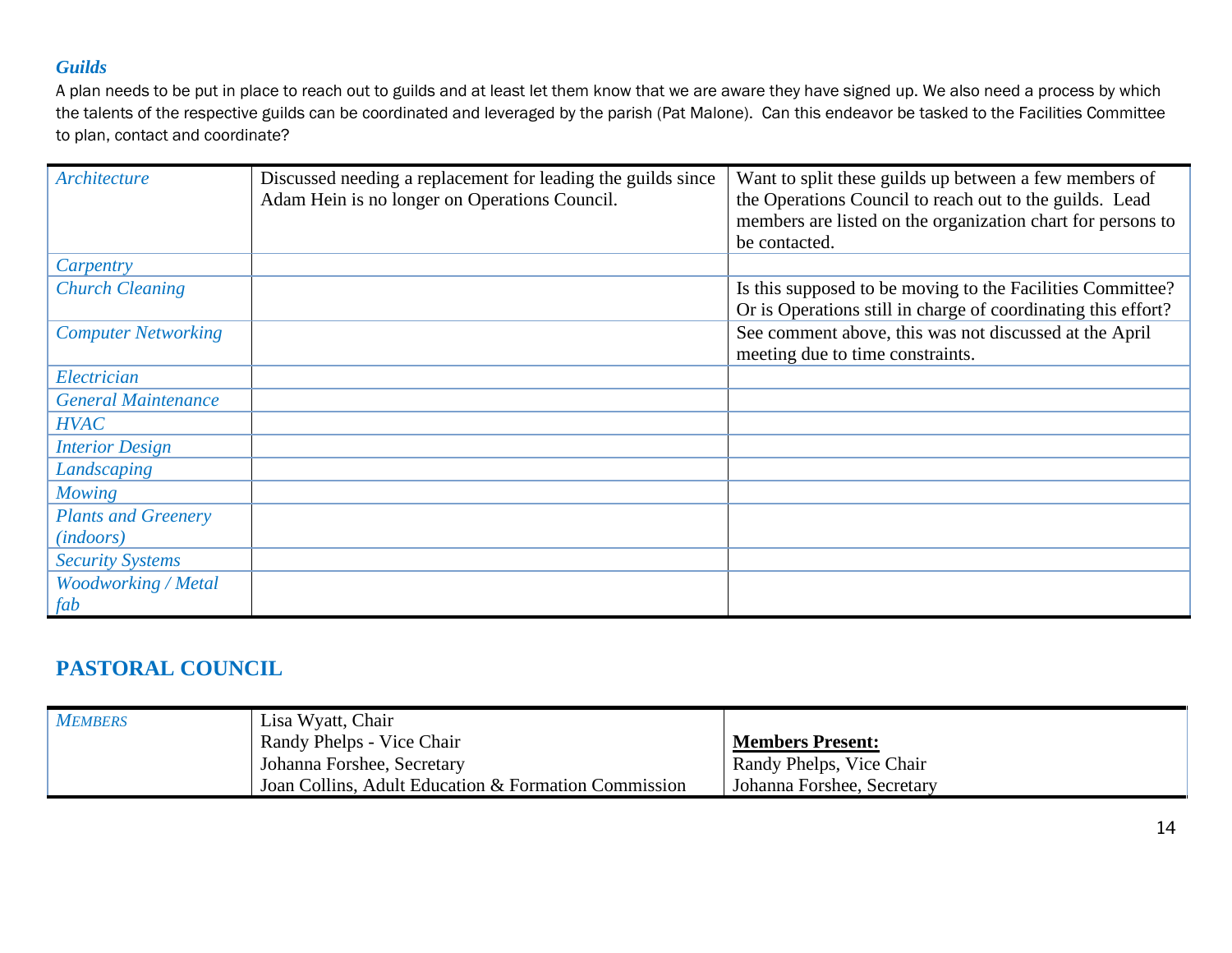#### *Guilds*

A plan needs to be put in place to reach out to guilds and at least let them know that we are aware they have signed up. We also need a process by which the talents of the respective guilds can be coordinated and leveraged by the parish (Pat Malone). Can this endeavor be tasked to the Facilities Committee to plan, contact and coordinate?

| Architecture               | Discussed needing a replacement for leading the guilds since<br>Adam Hein is no longer on Operations Council. | Want to split these guilds up between a few members of<br>the Operations Council to reach out to the guilds. Lead<br>members are listed on the organization chart for persons to<br>be contacted. |
|----------------------------|---------------------------------------------------------------------------------------------------------------|---------------------------------------------------------------------------------------------------------------------------------------------------------------------------------------------------|
| Carpentry                  |                                                                                                               |                                                                                                                                                                                                   |
| <b>Church Cleaning</b>     |                                                                                                               | Is this supposed to be moving to the Facilities Committee?<br>Or is Operations still in charge of coordinating this effort?                                                                       |
| <b>Computer Networking</b> |                                                                                                               | See comment above, this was not discussed at the April<br>meeting due to time constraints.                                                                                                        |
| Electrician                |                                                                                                               |                                                                                                                                                                                                   |
| <b>General Maintenance</b> |                                                                                                               |                                                                                                                                                                                                   |
| <b>HVAC</b>                |                                                                                                               |                                                                                                                                                                                                   |
| <b>Interior Design</b>     |                                                                                                               |                                                                                                                                                                                                   |
| Landscaping                |                                                                                                               |                                                                                                                                                                                                   |
| <b>Mowing</b>              |                                                                                                               |                                                                                                                                                                                                   |
| <b>Plants and Greenery</b> |                                                                                                               |                                                                                                                                                                                                   |
| <i>(indoors)</i>           |                                                                                                               |                                                                                                                                                                                                   |
| <b>Security Systems</b>    |                                                                                                               |                                                                                                                                                                                                   |
| <b>Woodworking / Metal</b> |                                                                                                               |                                                                                                                                                                                                   |
| fab                        |                                                                                                               |                                                                                                                                                                                                   |

### **PASTORAL COUNCIL**

| <b>MEMBERS</b> | Lisa Wyatt, Chair                                    |                            |
|----------------|------------------------------------------------------|----------------------------|
|                | Randy Phelps - Vice Chair                            | <b>Members Present:</b>    |
|                | Johanna Forshee, Secretary                           | Randy Phelps, Vice Chair   |
|                | Joan Collins, Adult Education & Formation Commission | Johanna Forshee, Secretary |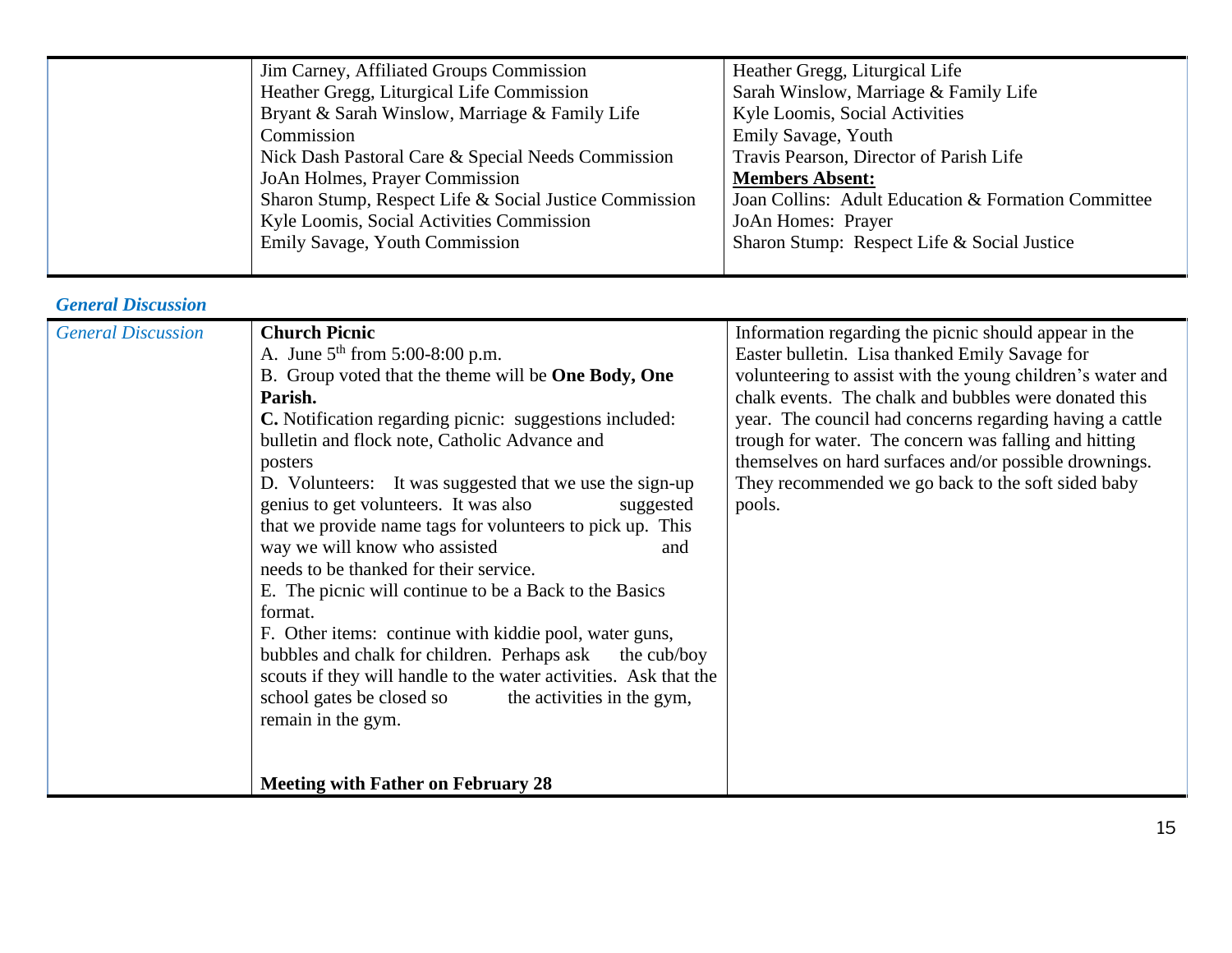|  | Jim Carney, Affiliated Groups Commission               | Heather Gregg, Liturgical Life                      |
|--|--------------------------------------------------------|-----------------------------------------------------|
|  | Heather Gregg, Liturgical Life Commission              | Sarah Winslow, Marriage & Family Life               |
|  | Bryant & Sarah Winslow, Marriage & Family Life         | Kyle Loomis, Social Activities                      |
|  | Commission                                             | Emily Savage, Youth                                 |
|  | Nick Dash Pastoral Care & Special Needs Commission     | Travis Pearson, Director of Parish Life             |
|  | JoAn Holmes, Prayer Commission                         | <b>Members Absent:</b>                              |
|  | Sharon Stump, Respect Life & Social Justice Commission | Joan Collins: Adult Education & Formation Committee |
|  | Kyle Loomis, Social Activities Commission              | JoAn Homes: Prayer                                  |
|  | Emily Savage, Youth Commission                         | Sharon Stump: Respect Life & Social Justice         |
|  |                                                        |                                                     |

### *General Discussion*

| <b>General Discussion</b> | <b>Church Picnic</b>                                               | Information regarding the picnic should appear in the      |
|---------------------------|--------------------------------------------------------------------|------------------------------------------------------------|
|                           | A. June $5^{th}$ from 5:00-8:00 p.m.                               | Easter bulletin. Lisa thanked Emily Savage for             |
|                           | B. Group voted that the theme will be <b>One Body</b> , <b>One</b> | volunteering to assist with the young children's water and |
|                           | Parish.                                                            | chalk events. The chalk and bubbles were donated this      |
|                           | <b>C.</b> Notification regarding picnic: suggestions included:     | year. The council had concerns regarding having a cattle   |
|                           | bulletin and flock note, Catholic Advance and                      | trough for water. The concern was falling and hitting      |
|                           | posters                                                            | themselves on hard surfaces and/or possible drownings.     |
|                           | D. Volunteers: It was suggested that we use the sign-up            | They recommended we go back to the soft sided baby         |
|                           | genius to get volunteers. It was also<br>suggested                 | pools.                                                     |
|                           | that we provide name tags for volunteers to pick up. This          |                                                            |
|                           | way we will know who assisted<br>and                               |                                                            |
|                           | needs to be thanked for their service.                             |                                                            |
|                           | E. The picnic will continue to be a Back to the Basics             |                                                            |
|                           | format.                                                            |                                                            |
|                           | F. Other items: continue with kiddie pool, water guns,             |                                                            |
|                           | bubbles and chalk for children. Perhaps ask<br>the cub/boy         |                                                            |
|                           | scouts if they will handle to the water activities. Ask that the   |                                                            |
|                           | school gates be closed so<br>the activities in the gym,            |                                                            |
|                           | remain in the gym.                                                 |                                                            |
|                           |                                                                    |                                                            |
|                           |                                                                    |                                                            |
|                           | <b>Meeting with Father on February 28</b>                          |                                                            |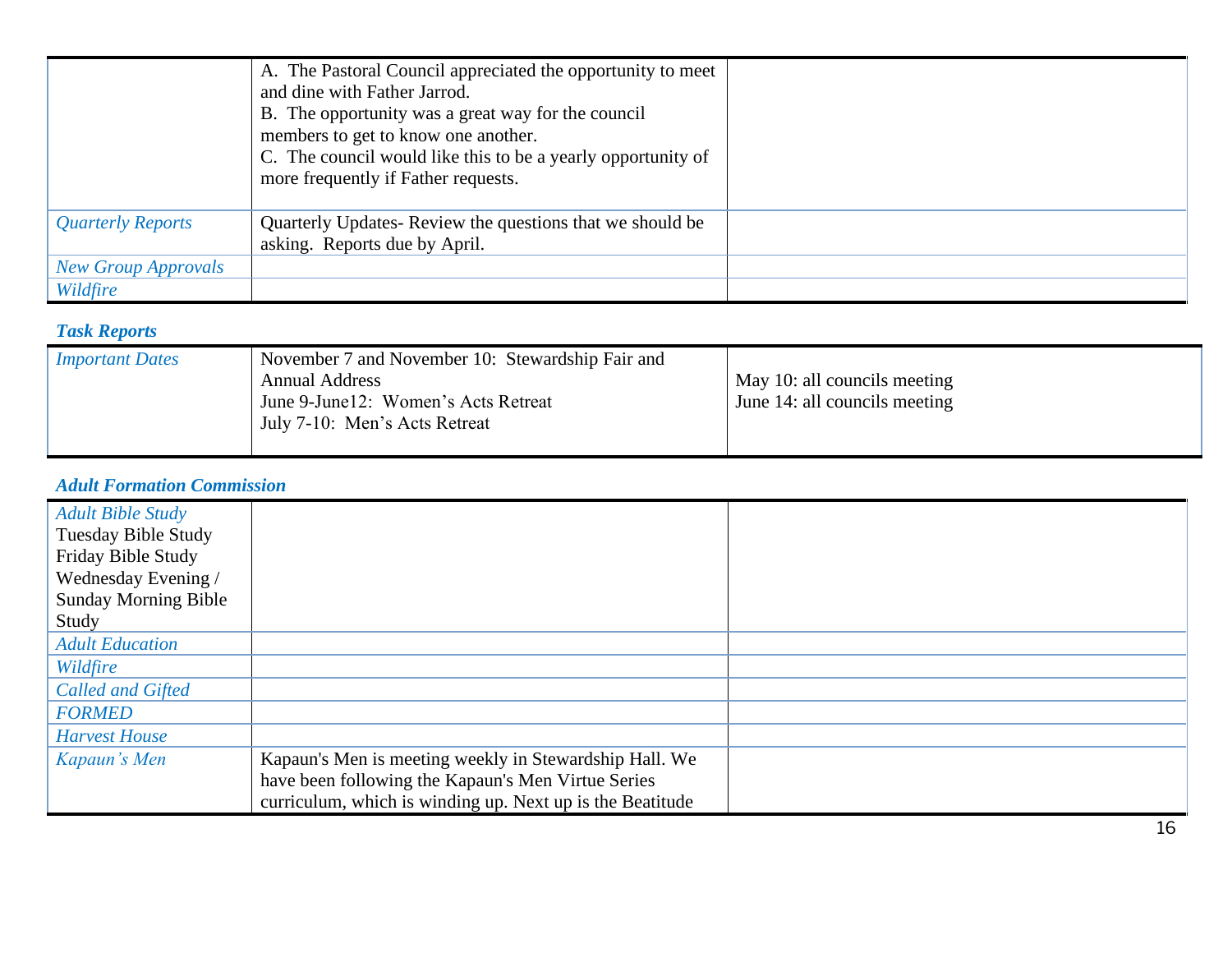|                            | A. The Pastoral Council appreciated the opportunity to meet<br>and dine with Father Jarrod.<br>B. The opportunity was a great way for the council<br>members to get to know one another.<br>C. The council would like this to be a yearly opportunity of<br>more frequently if Father requests. |  |
|----------------------------|-------------------------------------------------------------------------------------------------------------------------------------------------------------------------------------------------------------------------------------------------------------------------------------------------|--|
| <b>Quarterly Reports</b>   | Quarterly Updates-Review the questions that we should be<br>asking. Reports due by April.                                                                                                                                                                                                       |  |
| <b>New Group Approvals</b> |                                                                                                                                                                                                                                                                                                 |  |
| Wildfire                   |                                                                                                                                                                                                                                                                                                 |  |

### *Task Reports*

| Important Dates | November 7 and November 10: Stewardship Fair and<br><b>Annual Address</b><br>June 9-June 12: Women's Acts Retreat<br>July 7-10: Men's Acts Retreat | May 10: all councils meeting<br>June 14: all councils meeting |
|-----------------|----------------------------------------------------------------------------------------------------------------------------------------------------|---------------------------------------------------------------|
|                 |                                                                                                                                                    |                                                               |

### *Adult Formation Commission*

| <b>Adult Bible Study</b><br><b>Tuesday Bible Study</b><br>Friday Bible Study<br>Wednesday Evening / |                                                           |  |
|-----------------------------------------------------------------------------------------------------|-----------------------------------------------------------|--|
| <b>Sunday Morning Bible</b>                                                                         |                                                           |  |
| Study                                                                                               |                                                           |  |
| <b>Adult Education</b>                                                                              |                                                           |  |
| Wildfire                                                                                            |                                                           |  |
| <b>Called and Gifted</b>                                                                            |                                                           |  |
| <b>FORMED</b>                                                                                       |                                                           |  |
| <b>Harvest House</b>                                                                                |                                                           |  |
| Kapaun's Men                                                                                        | Kapaun's Men is meeting weekly in Stewardship Hall. We    |  |
|                                                                                                     | have been following the Kapaun's Men Virtue Series        |  |
|                                                                                                     | curriculum, which is winding up. Next up is the Beatitude |  |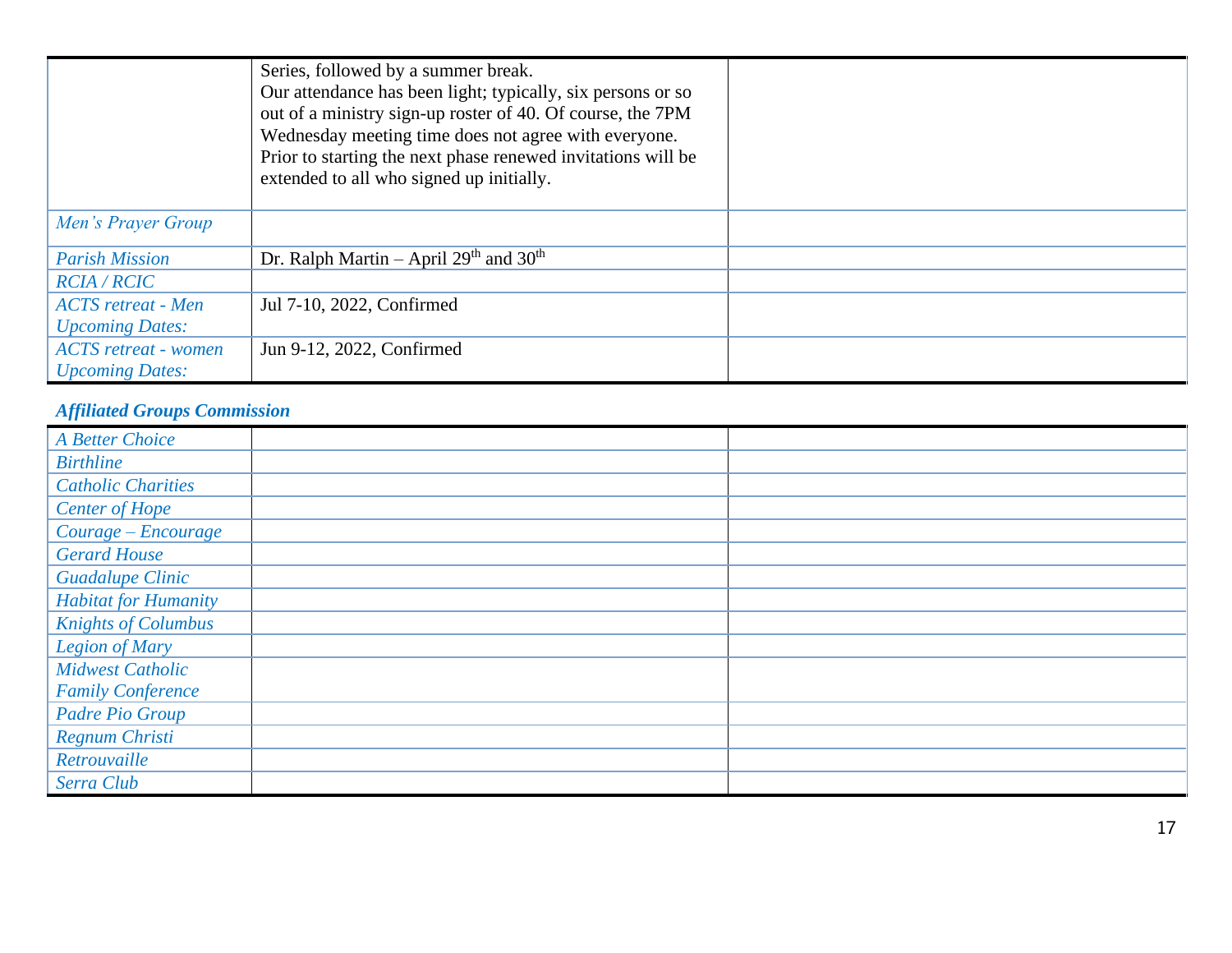|                             | Series, followed by a summer break.<br>Our attendance has been light; typically, six persons or so<br>out of a ministry sign-up roster of 40. Of course, the 7PM<br>Wednesday meeting time does not agree with everyone.<br>Prior to starting the next phase renewed invitations will be<br>extended to all who signed up initially. |  |
|-----------------------------|--------------------------------------------------------------------------------------------------------------------------------------------------------------------------------------------------------------------------------------------------------------------------------------------------------------------------------------|--|
| Men's Prayer Group          |                                                                                                                                                                                                                                                                                                                                      |  |
| <b>Parish Mission</b>       | Dr. Ralph Martin – April $29th$ and $30th$                                                                                                                                                                                                                                                                                           |  |
| <b>RCIA / RCIC</b>          |                                                                                                                                                                                                                                                                                                                                      |  |
| <b>ACTS</b> retreat - Men   | Jul 7-10, 2022, Confirmed                                                                                                                                                                                                                                                                                                            |  |
| <b>Upcoming Dates:</b>      |                                                                                                                                                                                                                                                                                                                                      |  |
| <b>ACTS</b> retreat - women | Jun 9-12, 2022, Confirmed                                                                                                                                                                                                                                                                                                            |  |
| <b>Upcoming Dates:</b>      |                                                                                                                                                                                                                                                                                                                                      |  |

### *Affiliated Groups Commission*

| <b>A Better Choice</b>      |  |
|-----------------------------|--|
| <b>Birthline</b>            |  |
| <b>Catholic Charities</b>   |  |
| <b>Center of Hope</b>       |  |
| Courage - Encourage         |  |
| <b>Gerard House</b>         |  |
| <b>Guadalupe Clinic</b>     |  |
| <b>Habitat for Humanity</b> |  |
| <b>Knights of Columbus</b>  |  |
| Legion of Mary              |  |
| <b>Midwest Catholic</b>     |  |
| <b>Family Conference</b>    |  |
| Padre Pio Group             |  |
| Regnum Christi              |  |
| Retrouvaille                |  |
| Serra Club                  |  |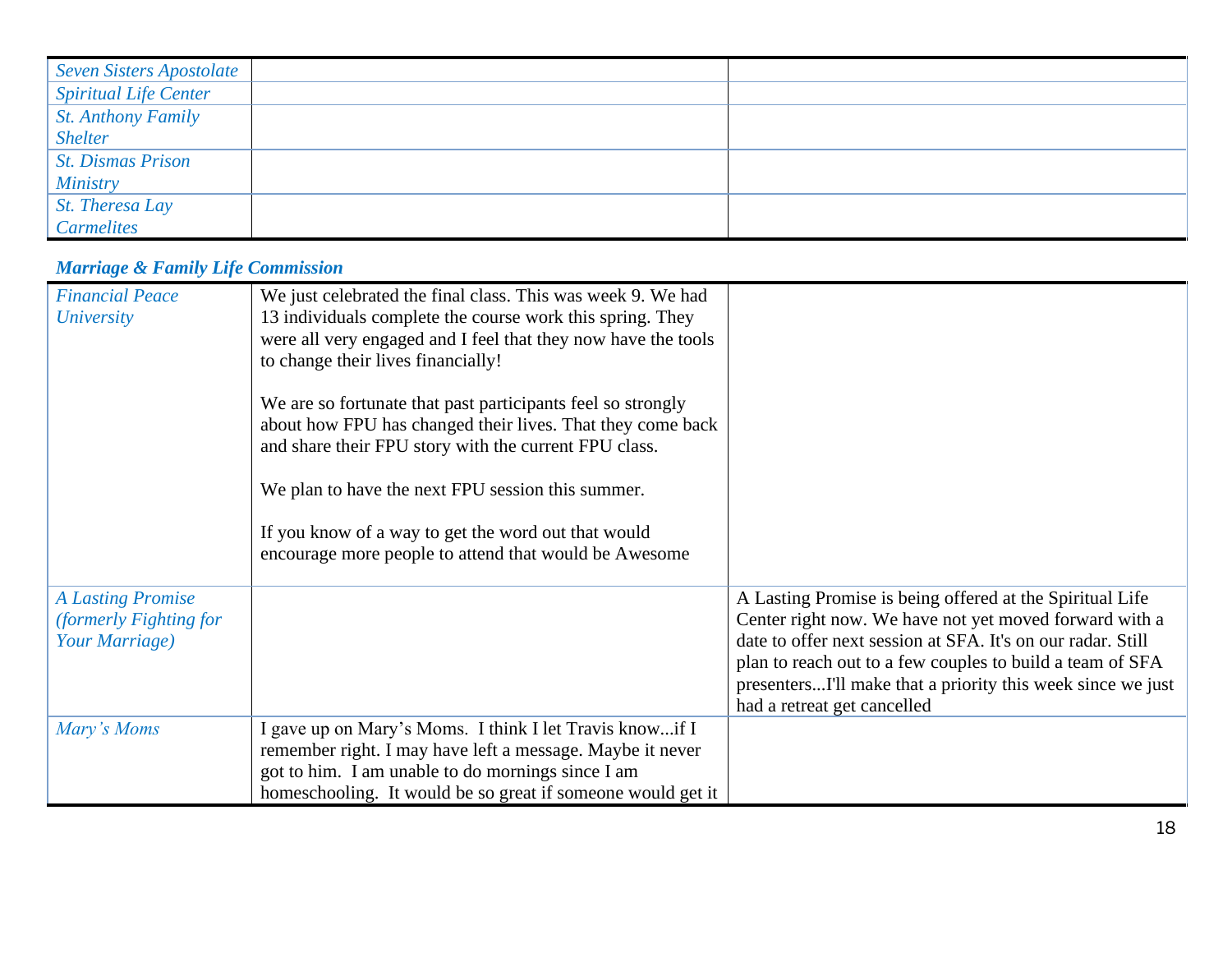| <b>Seven Sisters Apostolate</b> |  |
|---------------------------------|--|
| <b>Spiritual Life Center</b>    |  |
| <b>St. Anthony Family</b>       |  |
| <b>Shelter</b>                  |  |
| <i>St. Dismas Prison</i>        |  |
| <b>Ministry</b>                 |  |
| St. Theresa Lay                 |  |
| <b>Carmelites</b>               |  |

# *Marriage & Family Life Commission*

| <b>Financial Peace</b>   | We just celebrated the final class. This was week 9. We had                                                                |                                                                                                                       |
|--------------------------|----------------------------------------------------------------------------------------------------------------------------|-----------------------------------------------------------------------------------------------------------------------|
| <i>University</i>        | 13 individuals complete the course work this spring. They<br>were all very engaged and I feel that they now have the tools |                                                                                                                       |
|                          | to change their lives financially!                                                                                         |                                                                                                                       |
|                          | We are so fortunate that past participants feel so strongly                                                                |                                                                                                                       |
|                          | about how FPU has changed their lives. That they come back<br>and share their FPU story with the current FPU class.        |                                                                                                                       |
|                          | We plan to have the next FPU session this summer.                                                                          |                                                                                                                       |
|                          | If you know of a way to get the word out that would<br>encourage more people to attend that would be Awesome               |                                                                                                                       |
| <b>A Lasting Promise</b> |                                                                                                                            | A Lasting Promise is being offered at the Spiritual Life                                                              |
| (formerly Fighting for   |                                                                                                                            | Center right now. We have not yet moved forward with a<br>date to offer next session at SFA. It's on our radar. Still |
| Your Marriage)           |                                                                                                                            | plan to reach out to a few couples to build a team of SFA                                                             |
|                          |                                                                                                                            | presentersI'll make that a priority this week since we just                                                           |
|                          |                                                                                                                            | had a retreat get cancelled                                                                                           |
| Mary's Moms              | I gave up on Mary's Moms. I think I let Travis knowif I                                                                    |                                                                                                                       |
|                          | remember right. I may have left a message. Maybe it never                                                                  |                                                                                                                       |
|                          | got to him. I am unable to do mornings since I am                                                                          |                                                                                                                       |
|                          | homeschooling. It would be so great if someone would get it                                                                |                                                                                                                       |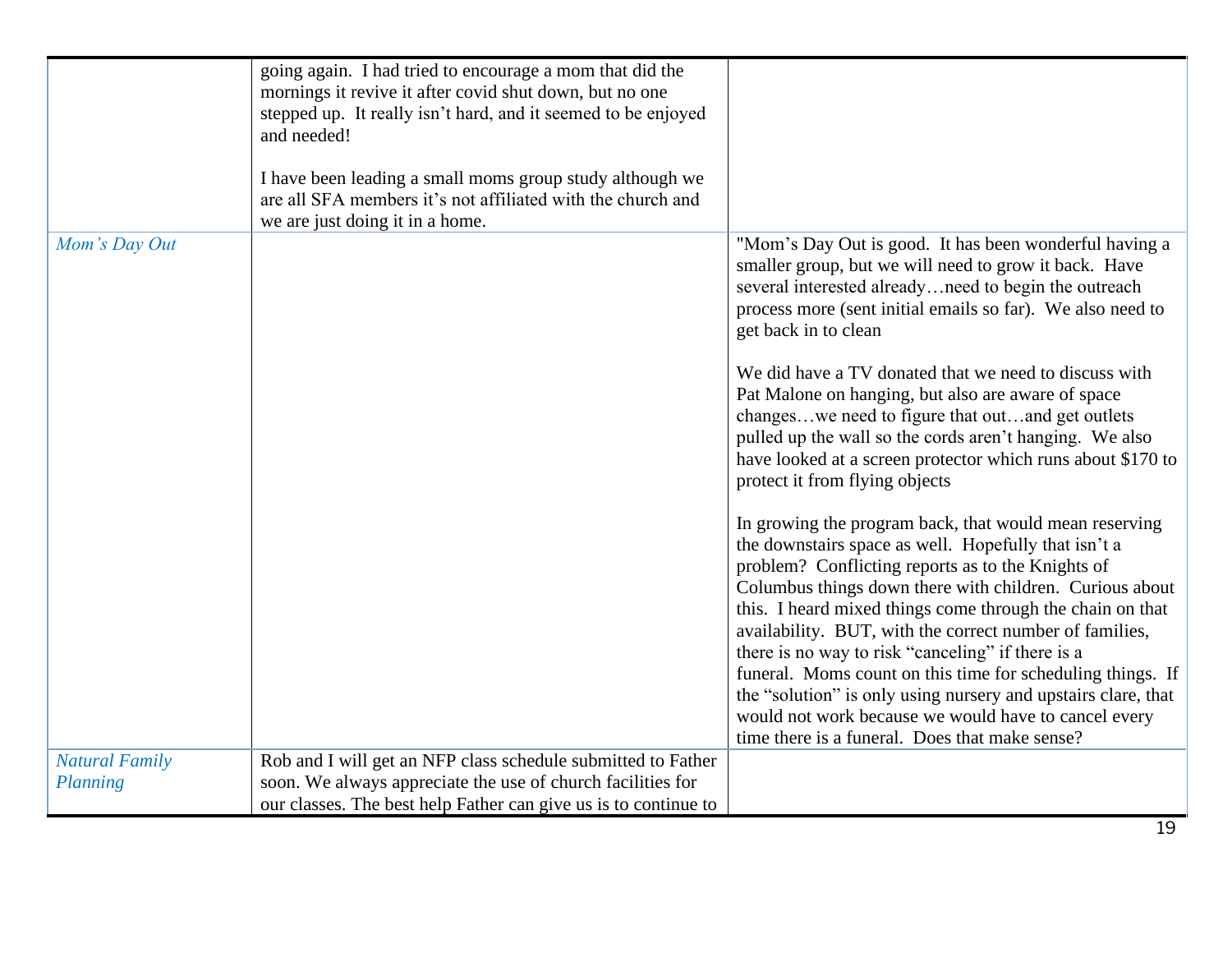|                       | going again. I had tried to encourage a mom that did the<br>mornings it revive it after covid shut down, but no one                                        |                                                                                                                                                                                                                                                                                                                                                                                                                                                                                                                                                                                                                                                      |
|-----------------------|------------------------------------------------------------------------------------------------------------------------------------------------------------|------------------------------------------------------------------------------------------------------------------------------------------------------------------------------------------------------------------------------------------------------------------------------------------------------------------------------------------------------------------------------------------------------------------------------------------------------------------------------------------------------------------------------------------------------------------------------------------------------------------------------------------------------|
|                       | stepped up. It really isn't hard, and it seemed to be enjoyed                                                                                              |                                                                                                                                                                                                                                                                                                                                                                                                                                                                                                                                                                                                                                                      |
|                       | and needed!                                                                                                                                                |                                                                                                                                                                                                                                                                                                                                                                                                                                                                                                                                                                                                                                                      |
|                       | I have been leading a small moms group study although we<br>are all SFA members it's not affiliated with the church and<br>we are just doing it in a home. |                                                                                                                                                                                                                                                                                                                                                                                                                                                                                                                                                                                                                                                      |
| Mom's Day Out         |                                                                                                                                                            | "Mom's Day Out is good. It has been wonderful having a<br>smaller group, but we will need to grow it back. Have<br>several interested alreadyneed to begin the outreach<br>process more (sent initial emails so far). We also need to<br>get back in to clean                                                                                                                                                                                                                                                                                                                                                                                        |
|                       |                                                                                                                                                            | We did have a TV donated that we need to discuss with<br>Pat Malone on hanging, but also are aware of space<br>changeswe need to figure that outand get outlets<br>pulled up the wall so the cords aren't hanging. We also<br>have looked at a screen protector which runs about \$170 to<br>protect it from flying objects                                                                                                                                                                                                                                                                                                                          |
|                       |                                                                                                                                                            | In growing the program back, that would mean reserving<br>the downstairs space as well. Hopefully that isn't a<br>problem? Conflicting reports as to the Knights of<br>Columbus things down there with children. Curious about<br>this. I heard mixed things come through the chain on that<br>availability. BUT, with the correct number of families,<br>there is no way to risk "canceling" if there is a<br>funeral. Moms count on this time for scheduling things. If<br>the "solution" is only using nursery and upstairs clare, that<br>would not work because we would have to cancel every<br>time there is a funeral. Does that make sense? |
| <b>Natural Family</b> | Rob and I will get an NFP class schedule submitted to Father                                                                                               |                                                                                                                                                                                                                                                                                                                                                                                                                                                                                                                                                                                                                                                      |
| Planning              | soon. We always appreciate the use of church facilities for                                                                                                |                                                                                                                                                                                                                                                                                                                                                                                                                                                                                                                                                                                                                                                      |
|                       | our classes. The best help Father can give us is to continue to                                                                                            |                                                                                                                                                                                                                                                                                                                                                                                                                                                                                                                                                                                                                                                      |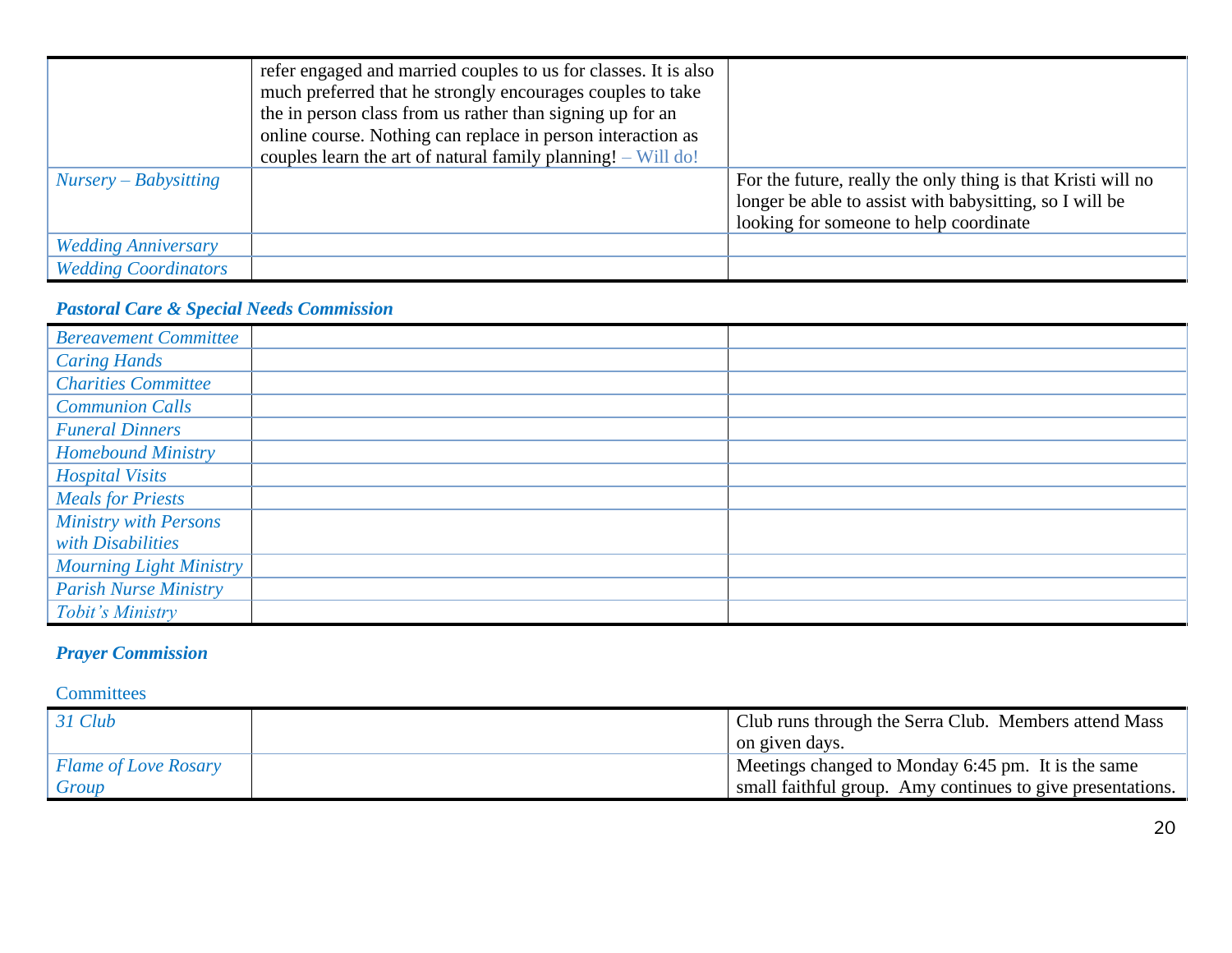|                             | refer engaged and married couples to us for classes. It is also<br>much preferred that he strongly encourages couples to take<br>the in person class from us rather than signing up for an<br>online course. Nothing can replace in person interaction as<br>couples learn the art of natural family planning! $-$ Will do! |                                                                                                                                                                   |
|-----------------------------|-----------------------------------------------------------------------------------------------------------------------------------------------------------------------------------------------------------------------------------------------------------------------------------------------------------------------------|-------------------------------------------------------------------------------------------------------------------------------------------------------------------|
| $Nursery-Babysitting$       |                                                                                                                                                                                                                                                                                                                             | For the future, really the only thing is that Kristi will no<br>longer be able to assist with babysitting, so I will be<br>looking for someone to help coordinate |
| <b>Wedding Anniversary</b>  |                                                                                                                                                                                                                                                                                                                             |                                                                                                                                                                   |
| <b>Wedding Coordinators</b> |                                                                                                                                                                                                                                                                                                                             |                                                                                                                                                                   |

### *Pastoral Care & Special Needs Commission*

| <b>Bereavement Committee</b>   |  |
|--------------------------------|--|
| <b>Caring Hands</b>            |  |
| <b>Charities Committee</b>     |  |
| <b>Communion Calls</b>         |  |
| <b>Funeral Dinners</b>         |  |
| <b>Homebound Ministry</b>      |  |
| <b>Hospital Visits</b>         |  |
| <b>Meals for Priests</b>       |  |
| <b>Ministry with Persons</b>   |  |
| with Disabilities              |  |
| <b>Mourning Light Ministry</b> |  |
| <b>Parish Nurse Ministry</b>   |  |
| Tobit's Ministry               |  |

# *Prayer Commission*

**Committees** 

| $31 \text{ Club}$           | Club runs through the Serra Club. Members attend Mass      |
|-----------------------------|------------------------------------------------------------|
|                             | on given days.                                             |
| <b>Flame of Love Rosary</b> | Meetings changed to Monday 6:45 pm. It is the same         |
| Group                       | small faithful group. Amy continues to give presentations. |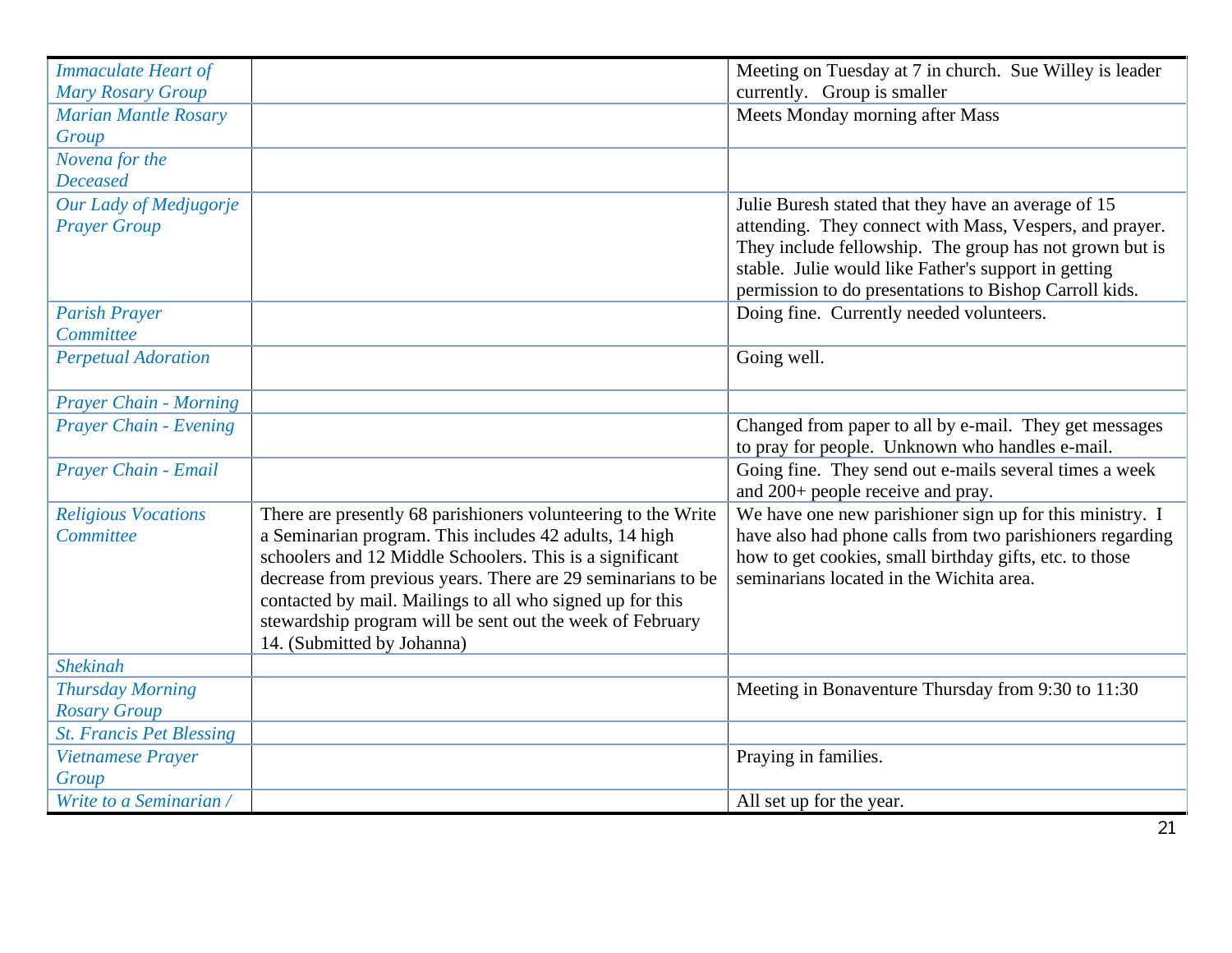| <b>Immaculate Heart of</b>      |                                                               | Meeting on Tuesday at 7 in church. Sue Willey is leader   |
|---------------------------------|---------------------------------------------------------------|-----------------------------------------------------------|
| <b>Mary Rosary Group</b>        |                                                               | currently. Group is smaller                               |
| <b>Marian Mantle Rosary</b>     |                                                               | Meets Monday morning after Mass                           |
| Group                           |                                                               |                                                           |
| Novena for the                  |                                                               |                                                           |
| <b>Deceased</b>                 |                                                               |                                                           |
| Our Lady of Medjugorje          |                                                               | Julie Buresh stated that they have an average of 15       |
| <b>Prayer Group</b>             |                                                               | attending. They connect with Mass, Vespers, and prayer.   |
|                                 |                                                               | They include fellowship. The group has not grown but is   |
|                                 |                                                               | stable. Julie would like Father's support in getting      |
|                                 |                                                               | permission to do presentations to Bishop Carroll kids.    |
| <b>Parish Prayer</b>            |                                                               | Doing fine. Currently needed volunteers.                  |
| Committee                       |                                                               |                                                           |
| <b>Perpetual Adoration</b>      |                                                               | Going well.                                               |
|                                 |                                                               |                                                           |
| <b>Prayer Chain - Morning</b>   |                                                               |                                                           |
| Prayer Chain - Evening          |                                                               | Changed from paper to all by e-mail. They get messages    |
|                                 |                                                               | to pray for people. Unknown who handles e-mail.           |
| Prayer Chain - Email            |                                                               | Going fine. They send out e-mails several times a week    |
|                                 |                                                               | and 200+ people receive and pray.                         |
| <b>Religious Vocations</b>      | There are presently 68 parishioners volunteering to the Write | We have one new parishioner sign up for this ministry. I  |
| Committee                       | a Seminarian program. This includes 42 adults, 14 high        | have also had phone calls from two parishioners regarding |
|                                 | schoolers and 12 Middle Schoolers. This is a significant      | how to get cookies, small birthday gifts, etc. to those   |
|                                 | decrease from previous years. There are 29 seminarians to be  | seminarians located in the Wichita area.                  |
|                                 | contacted by mail. Mailings to all who signed up for this     |                                                           |
|                                 | stewardship program will be sent out the week of February     |                                                           |
|                                 | 14. (Submitted by Johanna)                                    |                                                           |
| <b>Shekinah</b>                 |                                                               |                                                           |
| <b>Thursday Morning</b>         |                                                               | Meeting in Bonaventure Thursday from 9:30 to 11:30        |
| <b>Rosary Group</b>             |                                                               |                                                           |
| <b>St. Francis Pet Blessing</b> |                                                               |                                                           |
| Vietnamese Prayer               |                                                               | Praying in families.                                      |
| Group                           |                                                               |                                                           |
| Write to a Seminarian /         |                                                               | All set up for the year.                                  |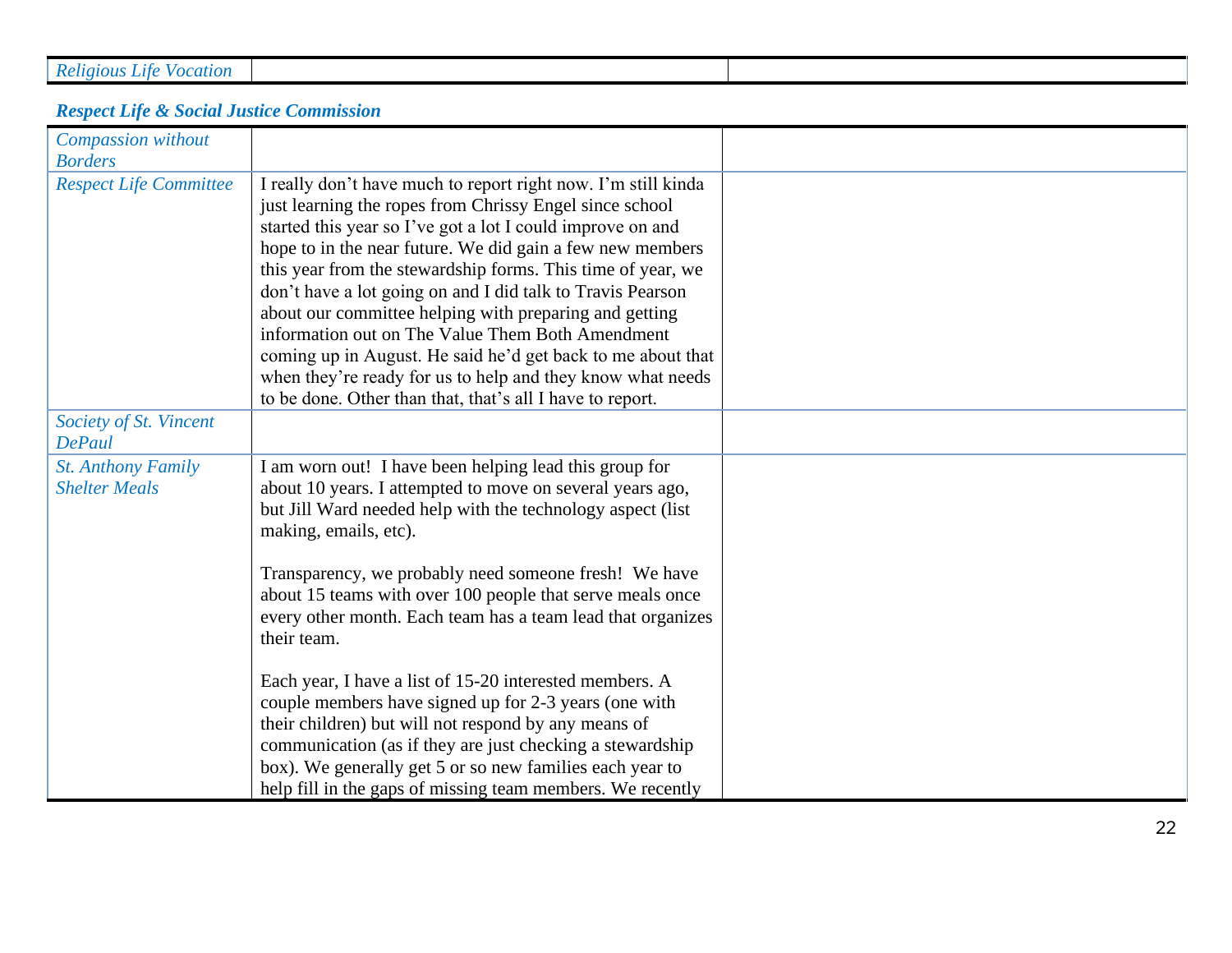|  | <b>Religious Life Vocation</b> |
|--|--------------------------------|
|  |                                |

### *Respect Life & Social Justice Commission*

| Compassion without<br><b>Borders</b>              |                                                                                                                                                                                                                                                                                                                                                                                                                                                                                                                                                                                                                                                                                          |  |
|---------------------------------------------------|------------------------------------------------------------------------------------------------------------------------------------------------------------------------------------------------------------------------------------------------------------------------------------------------------------------------------------------------------------------------------------------------------------------------------------------------------------------------------------------------------------------------------------------------------------------------------------------------------------------------------------------------------------------------------------------|--|
| <b>Respect Life Committee</b>                     | I really don't have much to report right now. I'm still kinda<br>just learning the ropes from Chrissy Engel since school<br>started this year so I've got a lot I could improve on and<br>hope to in the near future. We did gain a few new members<br>this year from the stewardship forms. This time of year, we<br>don't have a lot going on and I did talk to Travis Pearson<br>about our committee helping with preparing and getting<br>information out on The Value Them Both Amendment<br>coming up in August. He said he'd get back to me about that<br>when they're ready for us to help and they know what needs<br>to be done. Other than that, that's all I have to report. |  |
| Society of St. Vincent<br><b>DePaul</b>           |                                                                                                                                                                                                                                                                                                                                                                                                                                                                                                                                                                                                                                                                                          |  |
| <b>St. Anthony Family</b><br><b>Shelter Meals</b> | I am worn out! I have been helping lead this group for<br>about 10 years. I attempted to move on several years ago,<br>but Jill Ward needed help with the technology aspect (list)<br>making, emails, etc).                                                                                                                                                                                                                                                                                                                                                                                                                                                                              |  |
|                                                   | Transparency, we probably need someone fresh! We have<br>about 15 teams with over 100 people that serve meals once<br>every other month. Each team has a team lead that organizes<br>their team.                                                                                                                                                                                                                                                                                                                                                                                                                                                                                         |  |
|                                                   | Each year, I have a list of 15-20 interested members. A<br>couple members have signed up for 2-3 years (one with<br>their children) but will not respond by any means of<br>communication (as if they are just checking a stewardship<br>box). We generally get 5 or so new families each year to<br>help fill in the gaps of missing team members. We recently                                                                                                                                                                                                                                                                                                                          |  |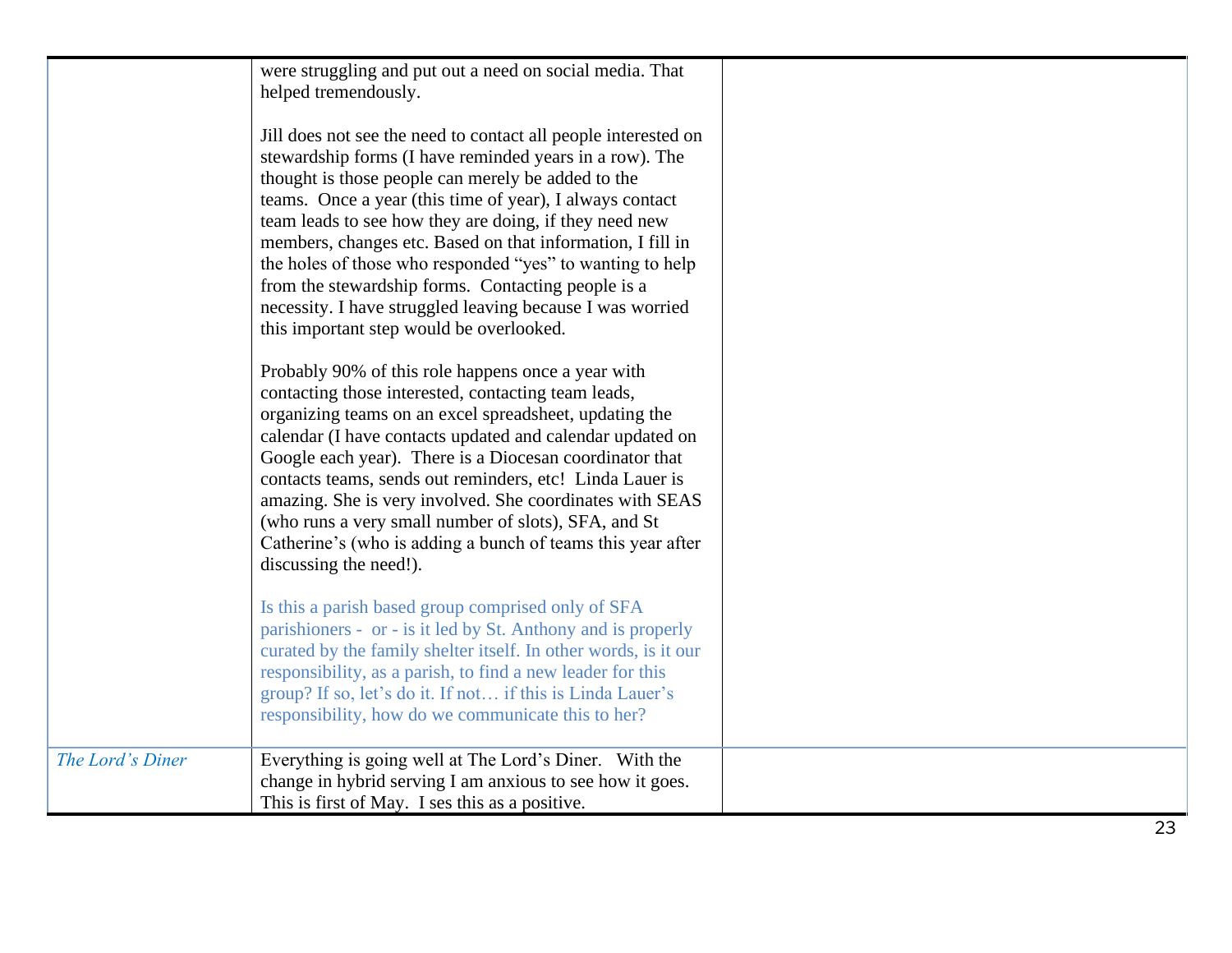|                  | were struggling and put out a need on social media. That<br>helped tremendously.<br>Jill does not see the need to contact all people interested on<br>stewardship forms (I have reminded years in a row). The<br>thought is those people can merely be added to the<br>teams. Once a year (this time of year), I always contact<br>team leads to see how they are doing, if they need new<br>members, changes etc. Based on that information, I fill in<br>the holes of those who responded "yes" to wanting to help<br>from the stewardship forms. Contacting people is a<br>necessity. I have struggled leaving because I was worried<br>this important step would be overlooked.<br>Probably 90% of this role happens once a year with |  |
|------------------|-------------------------------------------------------------------------------------------------------------------------------------------------------------------------------------------------------------------------------------------------------------------------------------------------------------------------------------------------------------------------------------------------------------------------------------------------------------------------------------------------------------------------------------------------------------------------------------------------------------------------------------------------------------------------------------------------------------------------------------------|--|
|                  | contacting those interested, contacting team leads,<br>organizing teams on an excel spreadsheet, updating the<br>calendar (I have contacts updated and calendar updated on<br>Google each year). There is a Diocesan coordinator that<br>contacts teams, sends out reminders, etc! Linda Lauer is<br>amazing. She is very involved. She coordinates with SEAS<br>(who runs a very small number of slots), SFA, and St<br>Catherine's (who is adding a bunch of teams this year after<br>discussing the need!).                                                                                                                                                                                                                            |  |
|                  | Is this a parish based group comprised only of SFA<br>parishioners - or - is it led by St. Anthony and is properly<br>curated by the family shelter itself. In other words, is it our<br>responsibility, as a parish, to find a new leader for this<br>group? If so, let's do it. If not if this is Linda Lauer's<br>responsibility, how do we communicate this to her?                                                                                                                                                                                                                                                                                                                                                                   |  |
| The Lord's Diner | Everything is going well at The Lord's Diner. With the<br>change in hybrid serving I am anxious to see how it goes.<br>This is first of May. I ses this as a positive.                                                                                                                                                                                                                                                                                                                                                                                                                                                                                                                                                                    |  |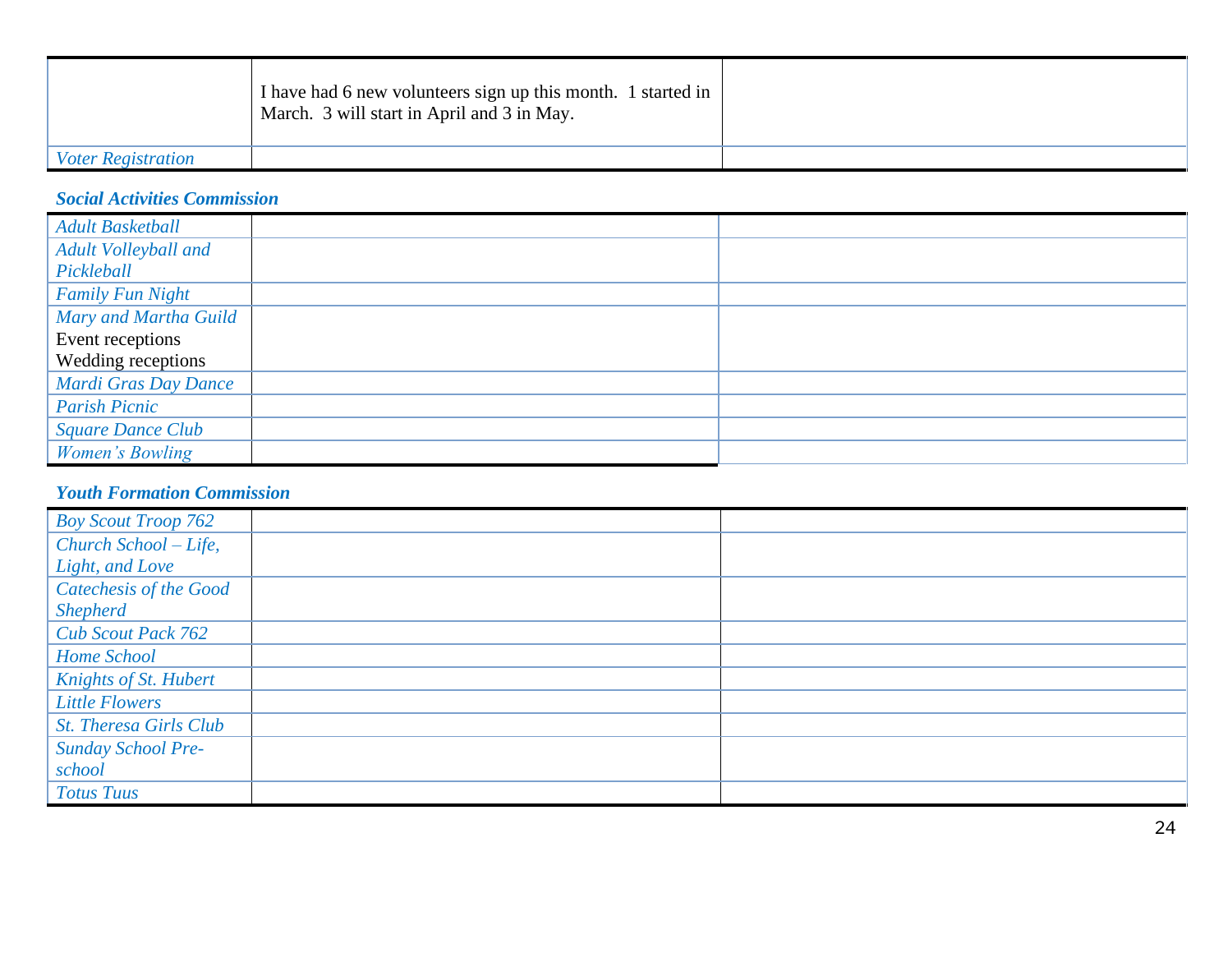|                           | I have had 6 new volunteers sign up this month. 1 started in<br>March. 3 will start in April and 3 in May. |  |
|---------------------------|------------------------------------------------------------------------------------------------------------|--|
| <i>Voter Registration</i> |                                                                                                            |  |

#### *Social Activities Commission*

| <b>Adult Basketball</b>     |  |
|-----------------------------|--|
| <b>Adult Volleyball and</b> |  |
| Pickleball                  |  |
| <b>Family Fun Night</b>     |  |
| Mary and Martha Guild       |  |
| Event receptions            |  |
| Wedding receptions          |  |
| Mardi Gras Day Dance        |  |
| <b>Parish Picnic</b>        |  |
| <b>Square Dance Club</b>    |  |
| Women's Bowling             |  |

#### *Youth Formation Commission*

| <b>Boy Scout Troop 762</b>    |  |
|-------------------------------|--|
| Church School - Life,         |  |
| Light, and Love               |  |
| Catechesis of the Good        |  |
| <b>Shepherd</b>               |  |
| <b>Cub Scout Pack 762</b>     |  |
| Home School                   |  |
| Knights of St. Hubert         |  |
| <b>Little Flowers</b>         |  |
| <b>St. Theresa Girls Club</b> |  |
| <b>Sunday School Pre-</b>     |  |
| school                        |  |
| <b>Totus Tuus</b>             |  |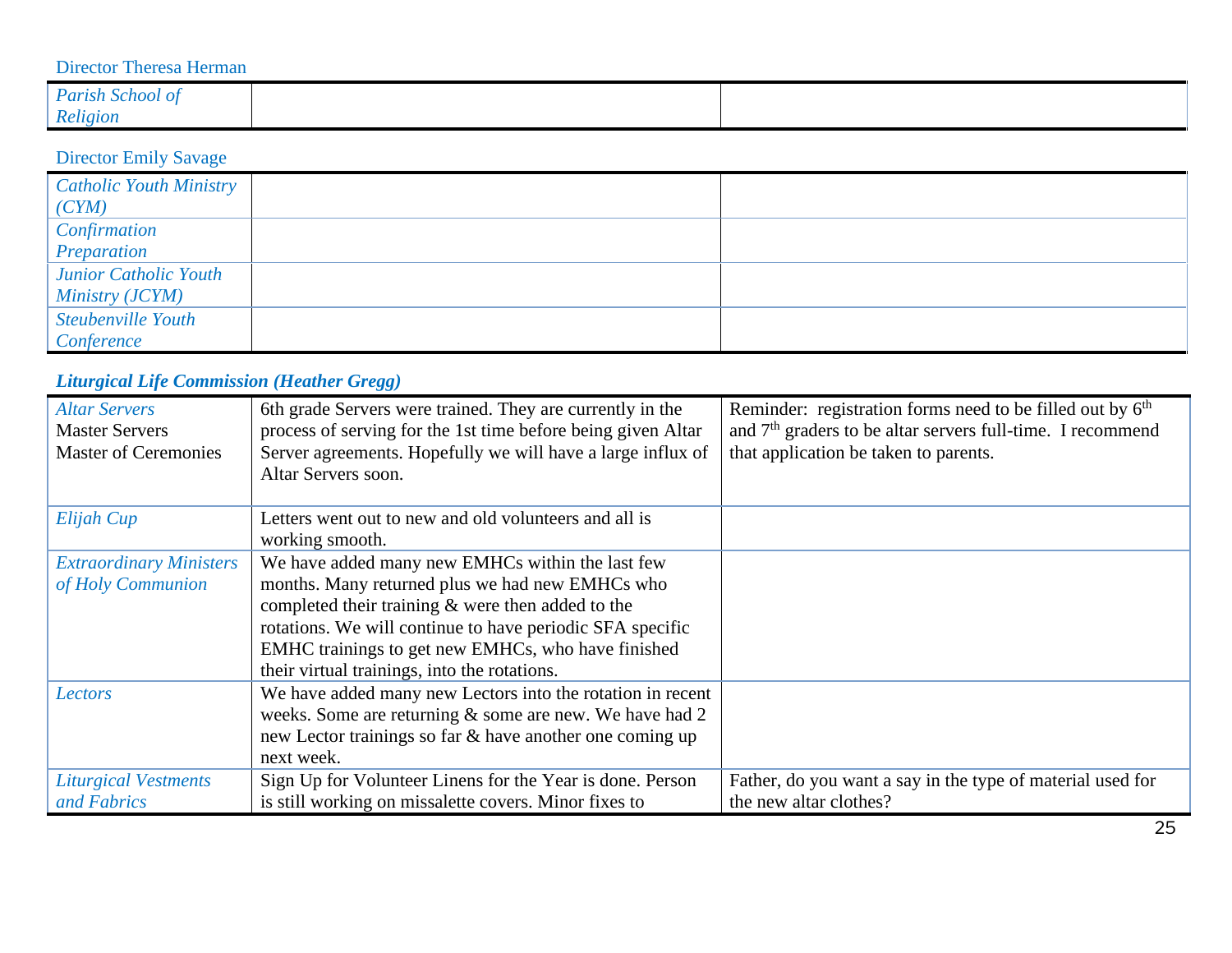### Director Theresa Herman

| Parish School of |  |
|------------------|--|
| Religion         |  |

### Director Emily Savage

| <b>Catholic Youth Ministry</b><br>(CYM) |  |
|-----------------------------------------|--|
| Confirmation                            |  |
| Preparation                             |  |
| Junior Catholic Youth                   |  |
| Ministry (JCYM)                         |  |
| Steubenville Youth                      |  |
| Conference                              |  |

## *Liturgical Life Commission (Heather Gregg)*

| <b>Altar Servers</b><br><b>Master Servers</b><br><b>Master of Ceremonies</b> | 6th grade Servers were trained. They are currently in the<br>process of serving for the 1st time before being given Altar<br>Server agreements. Hopefully we will have a large influx of<br>Altar Servers soon. | Reminder: registration forms need to be filled out by $6th$<br>and $7th$ graders to be altar servers full-time. I recommend<br>that application be taken to parents. |
|------------------------------------------------------------------------------|-----------------------------------------------------------------------------------------------------------------------------------------------------------------------------------------------------------------|----------------------------------------------------------------------------------------------------------------------------------------------------------------------|
| Elijah Cup                                                                   | Letters went out to new and old volunteers and all is<br>working smooth.                                                                                                                                        |                                                                                                                                                                      |
| <b>Extraordinary Ministers</b>                                               | We have added many new EMHCs within the last few                                                                                                                                                                |                                                                                                                                                                      |
| of Holy Communion                                                            | months. Many returned plus we had new EMHCs who                                                                                                                                                                 |                                                                                                                                                                      |
|                                                                              | completed their training $\&$ were then added to the                                                                                                                                                            |                                                                                                                                                                      |
|                                                                              | rotations. We will continue to have periodic SFA specific                                                                                                                                                       |                                                                                                                                                                      |
|                                                                              | EMHC trainings to get new EMHCs, who have finished                                                                                                                                                              |                                                                                                                                                                      |
|                                                                              | their virtual trainings, into the rotations.                                                                                                                                                                    |                                                                                                                                                                      |
| Lectors                                                                      | We have added many new Lectors into the rotation in recent                                                                                                                                                      |                                                                                                                                                                      |
|                                                                              | weeks. Some are returning & some are new. We have had 2                                                                                                                                                         |                                                                                                                                                                      |
|                                                                              | new Lector trainings so far & have another one coming up                                                                                                                                                        |                                                                                                                                                                      |
|                                                                              | next week.                                                                                                                                                                                                      |                                                                                                                                                                      |
| <b>Liturgical Vestments</b>                                                  | Sign Up for Volunteer Linens for the Year is done. Person                                                                                                                                                       | Father, do you want a say in the type of material used for                                                                                                           |
| and Fabrics                                                                  | is still working on missalette covers. Minor fixes to                                                                                                                                                           | the new altar clothes?                                                                                                                                               |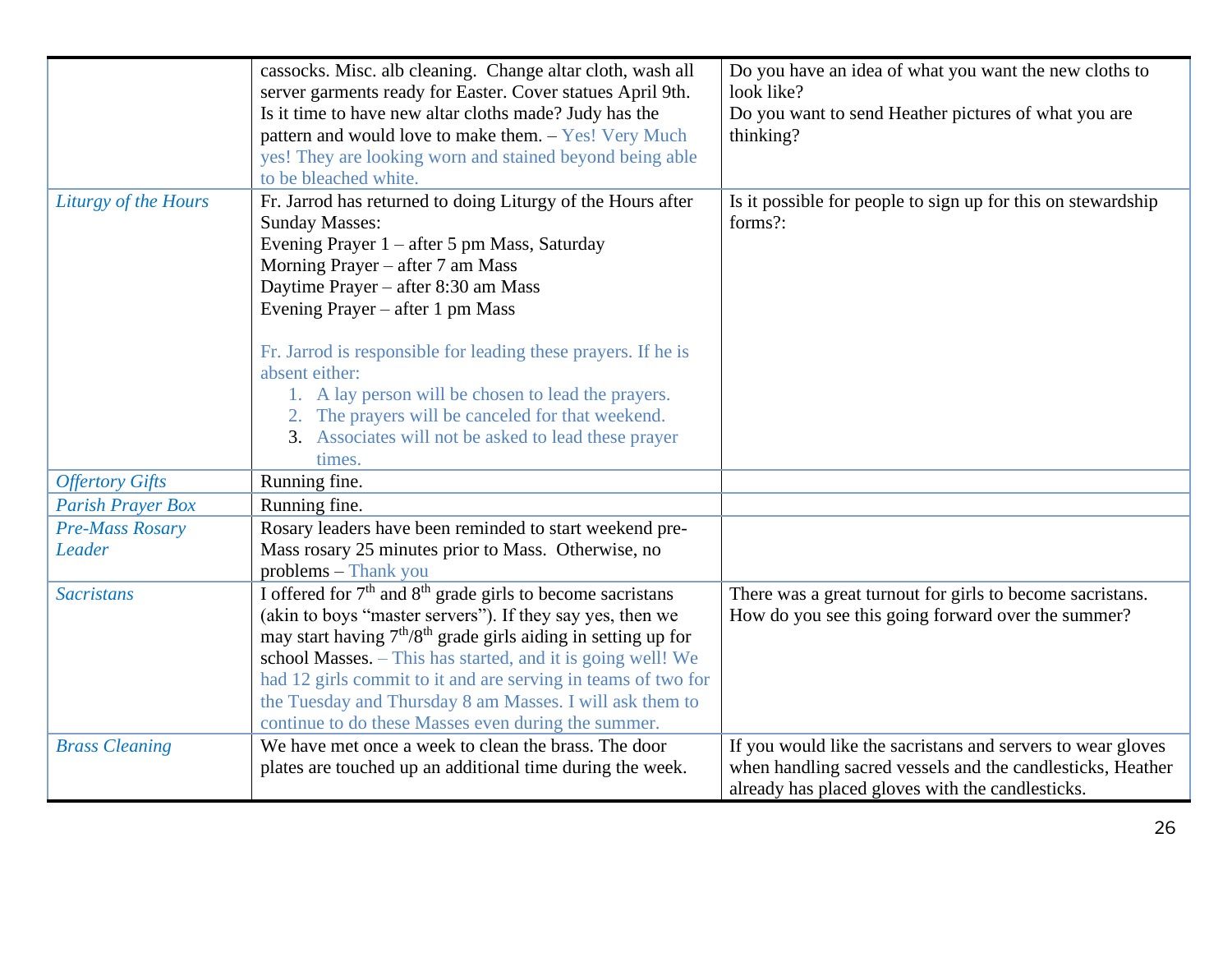|                          | cassocks. Misc. alb cleaning. Change altar cloth, wash all<br>server garments ready for Easter. Cover statues April 9th.<br>Is it time to have new altar cloths made? Judy has the<br>pattern and would love to make them. - Yes! Very Much                                                                                                                                                                                                                           | Do you have an idea of what you want the new cloths to<br>look like?<br>Do you want to send Heather pictures of what you are<br>thinking?                                     |
|--------------------------|-----------------------------------------------------------------------------------------------------------------------------------------------------------------------------------------------------------------------------------------------------------------------------------------------------------------------------------------------------------------------------------------------------------------------------------------------------------------------|-------------------------------------------------------------------------------------------------------------------------------------------------------------------------------|
|                          | yes! They are looking worn and stained beyond being able<br>to be bleached white.                                                                                                                                                                                                                                                                                                                                                                                     |                                                                                                                                                                               |
| Liturgy of the Hours     | Fr. Jarrod has returned to doing Liturgy of the Hours after<br><b>Sunday Masses:</b><br>Evening Prayer 1 – after 5 pm Mass, Saturday<br>Morning Prayer – after 7 am Mass<br>Daytime Prayer – after 8:30 am Mass<br>Evening Prayer – after 1 pm Mass                                                                                                                                                                                                                   | Is it possible for people to sign up for this on stewardship<br>forms?:                                                                                                       |
|                          | Fr. Jarrod is responsible for leading these prayers. If he is<br>absent either:<br>1. A lay person will be chosen to lead the prayers.<br>2. The prayers will be canceled for that weekend.<br>3. Associates will not be asked to lead these prayer<br>times.                                                                                                                                                                                                         |                                                                                                                                                                               |
| <b>Offertory Gifts</b>   | Running fine.                                                                                                                                                                                                                                                                                                                                                                                                                                                         |                                                                                                                                                                               |
| <b>Parish Prayer Box</b> | Running fine.                                                                                                                                                                                                                                                                                                                                                                                                                                                         |                                                                                                                                                                               |
| <b>Pre-Mass Rosary</b>   | Rosary leaders have been reminded to start weekend pre-                                                                                                                                                                                                                                                                                                                                                                                                               |                                                                                                                                                                               |
| Leader                   | Mass rosary 25 minutes prior to Mass. Otherwise, no<br>problems - Thank you                                                                                                                                                                                                                                                                                                                                                                                           |                                                                                                                                                                               |
| <b>Sacristans</b>        | I offered for 7 <sup>th</sup> and 8 <sup>th</sup> grade girls to become sacristans<br>(akin to boys "master servers"). If they say yes, then we<br>may start having $7th/8th$ grade girls aiding in setting up for<br>school Masses. - This has started, and it is going well! We<br>had 12 girls commit to it and are serving in teams of two for<br>the Tuesday and Thursday 8 am Masses. I will ask them to<br>continue to do these Masses even during the summer. | There was a great turnout for girls to become sacristans.<br>How do you see this going forward over the summer?                                                               |
| <b>Brass Cleaning</b>    | We have met once a week to clean the brass. The door<br>plates are touched up an additional time during the week.                                                                                                                                                                                                                                                                                                                                                     | If you would like the sacristans and servers to wear gloves<br>when handling sacred vessels and the candlesticks, Heather<br>already has placed gloves with the candlesticks. |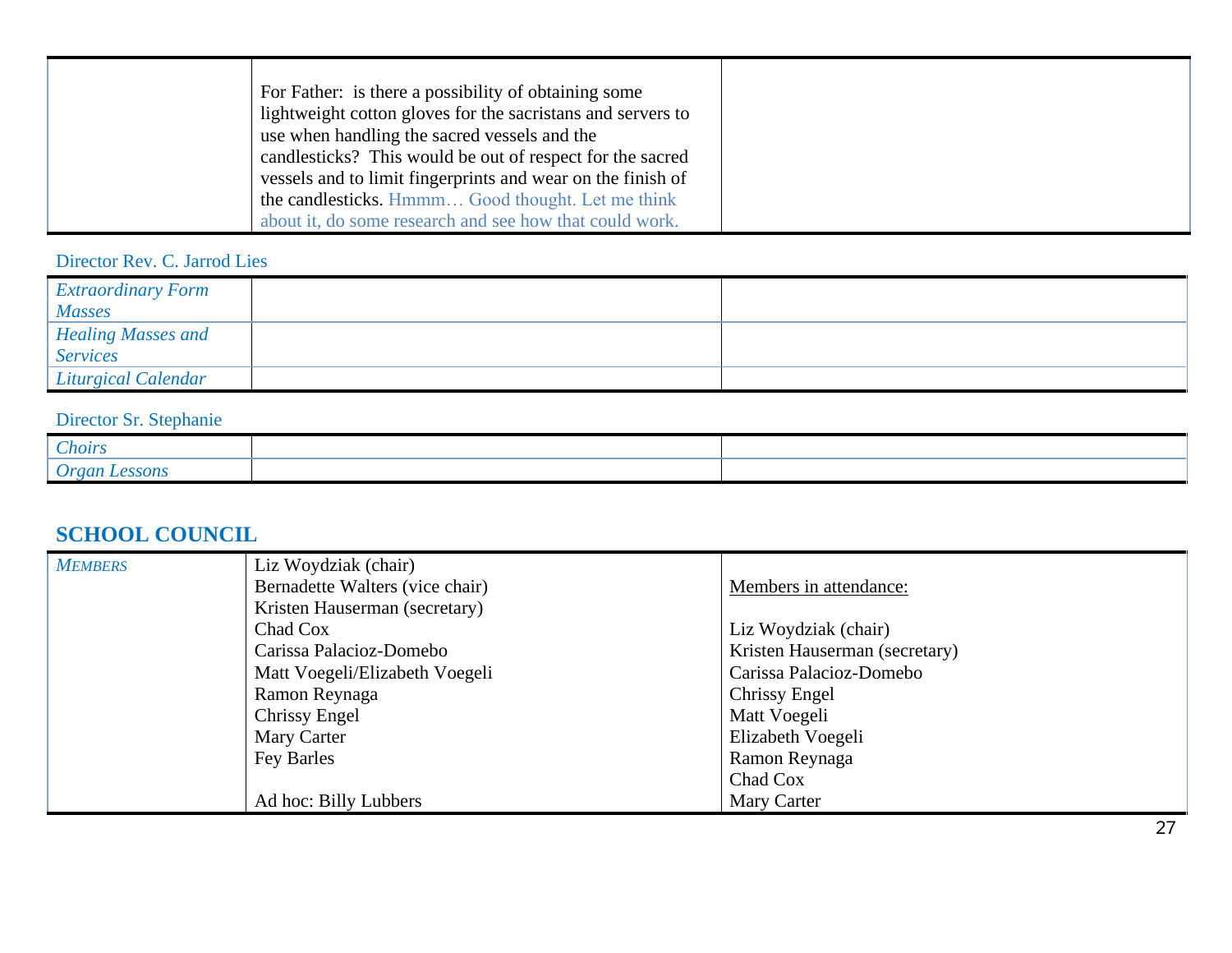| For Father: is there a possibility of obtaining some        |
|-------------------------------------------------------------|
| lightweight cotton gloves for the sacristans and servers to |
| use when handling the sacred vessels and the                |
| candlesticks? This would be out of respect for the sacred   |
| vessels and to limit fingerprints and wear on the finish of |
| the candlesticks. Hmmm Good thought. Let me think           |
| about it, do some research and see how that could work.     |

Director Rev. C. Jarrod Lies

| <b>Extraordinary Form</b>      |  |
|--------------------------------|--|
| <b>Masses</b>                  |  |
| Healing Masses and<br>Services |  |
|                                |  |
| <b>Liturgical Calendar</b>     |  |

## Director Sr. Stephanie

| $\sim$<br><i>hoirs</i>         |  |
|--------------------------------|--|
| <i><b>SSONS</b></i><br>a Iroar |  |

### **SCHOOL COUNCIL**

| <b>MEMBERS</b> | Liz Woydziak (chair)            |                               |
|----------------|---------------------------------|-------------------------------|
|                | Bernadette Walters (vice chair) | Members in attendance:        |
|                | Kristen Hauserman (secretary)   |                               |
|                | Chad Cox                        | Liz Woydziak (chair)          |
|                | Carissa Palacioz-Domebo         | Kristen Hauserman (secretary) |
|                | Matt Voegeli/Elizabeth Voegeli  | Carissa Palacioz-Domebo       |
|                | Ramon Reynaga                   | Chrissy Engel                 |
|                | Chrissy Engel                   | Matt Voegeli                  |
|                | Mary Carter                     | Elizabeth Voegeli             |
|                | Fey Barles                      | Ramon Reynaga                 |
|                |                                 | Chad Cox                      |
|                | Ad hoc: Billy Lubbers           | Mary Carter                   |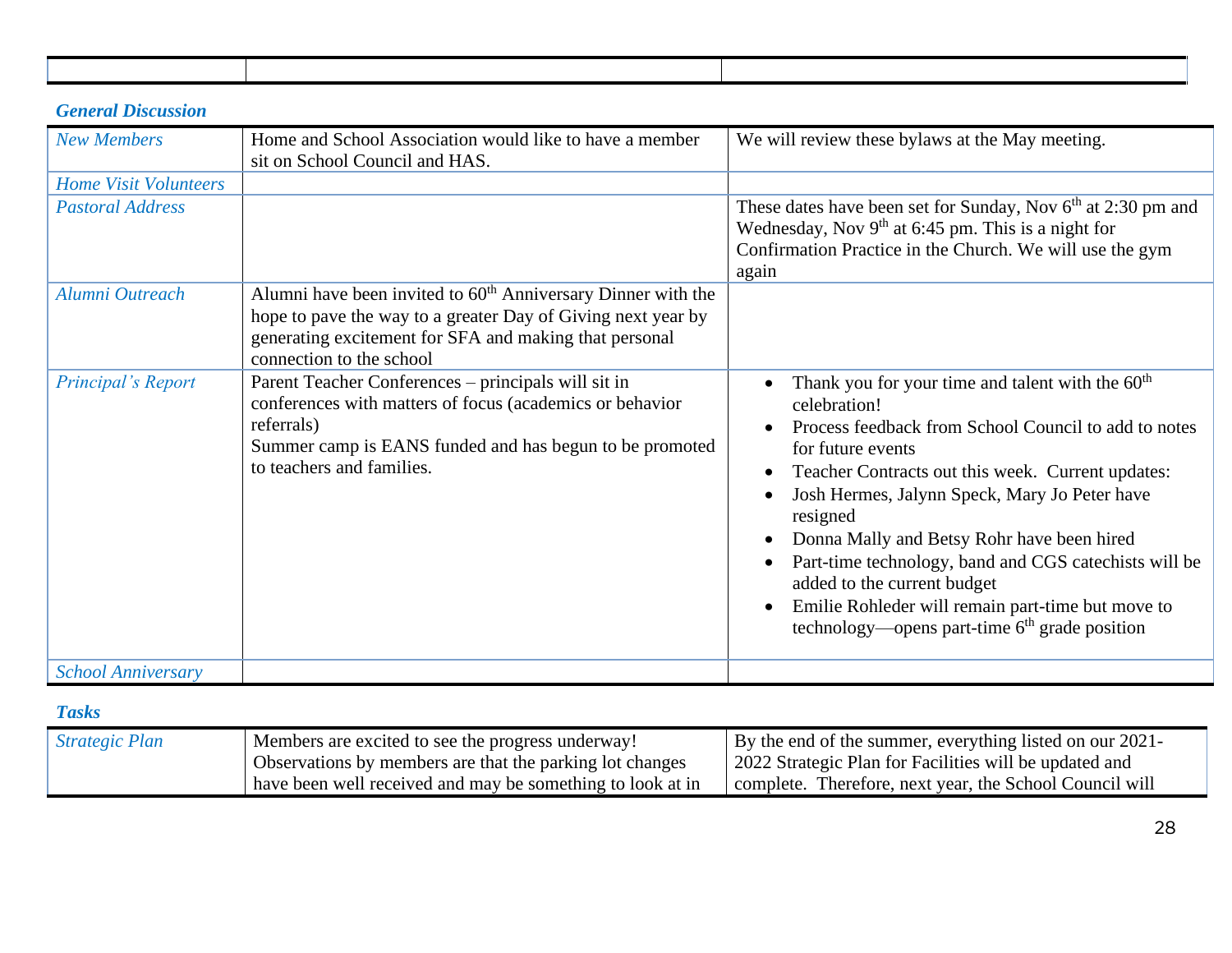### *General Discussion*

| <b>New Members</b>           | Home and School Association would like to have a member<br>sit on School Council and HAS.                                                                                                                             | We will review these bylaws at the May meeting.                                                                                                                                                                                                                                                                                                                                                                                                                                                                           |
|------------------------------|-----------------------------------------------------------------------------------------------------------------------------------------------------------------------------------------------------------------------|---------------------------------------------------------------------------------------------------------------------------------------------------------------------------------------------------------------------------------------------------------------------------------------------------------------------------------------------------------------------------------------------------------------------------------------------------------------------------------------------------------------------------|
| <b>Home Visit Volunteers</b> |                                                                                                                                                                                                                       |                                                                                                                                                                                                                                                                                                                                                                                                                                                                                                                           |
| <b>Pastoral Address</b>      |                                                                                                                                                                                                                       | These dates have been set for Sunday, Nov $6th$ at 2:30 pm and<br>Wednesday, Nov $9th$ at 6:45 pm. This is a night for<br>Confirmation Practice in the Church. We will use the gym<br>again                                                                                                                                                                                                                                                                                                                               |
| Alumni Outreach              | Alumni have been invited to $60th$ Anniversary Dinner with the<br>hope to pave the way to a greater Day of Giving next year by<br>generating excitement for SFA and making that personal<br>connection to the school  |                                                                                                                                                                                                                                                                                                                                                                                                                                                                                                                           |
| Principal's Report           | Parent Teacher Conferences – principals will sit in<br>conferences with matters of focus (academics or behavior<br>referrals)<br>Summer camp is EANS funded and has begun to be promoted<br>to teachers and families. | Thank you for your time and talent with the 60 <sup>th</sup><br>celebration!<br>Process feedback from School Council to add to notes<br>for future events<br>Teacher Contracts out this week. Current updates:<br>Josh Hermes, Jalynn Speck, Mary Jo Peter have<br>resigned<br>Donna Mally and Betsy Rohr have been hired<br>Part-time technology, band and CGS catechists will be<br>added to the current budget<br>Emilie Rohleder will remain part-time but move to<br>technology—opens part-time $6th$ grade position |
| <b>School Anniversary</b>    |                                                                                                                                                                                                                       |                                                                                                                                                                                                                                                                                                                                                                                                                                                                                                                           |

### *Tasks*

| <b>Strategic Plan</b> | Members are excited to see the progress underway!          | By the end of the summer, everything listed on our 2021- |
|-----------------------|------------------------------------------------------------|----------------------------------------------------------|
|                       | Observations by members are that the parking lot changes   | 2022 Strategic Plan for Facilities will be updated and   |
|                       | have been well received and may be something to look at in | complete. Therefore, next year, the School Council will  |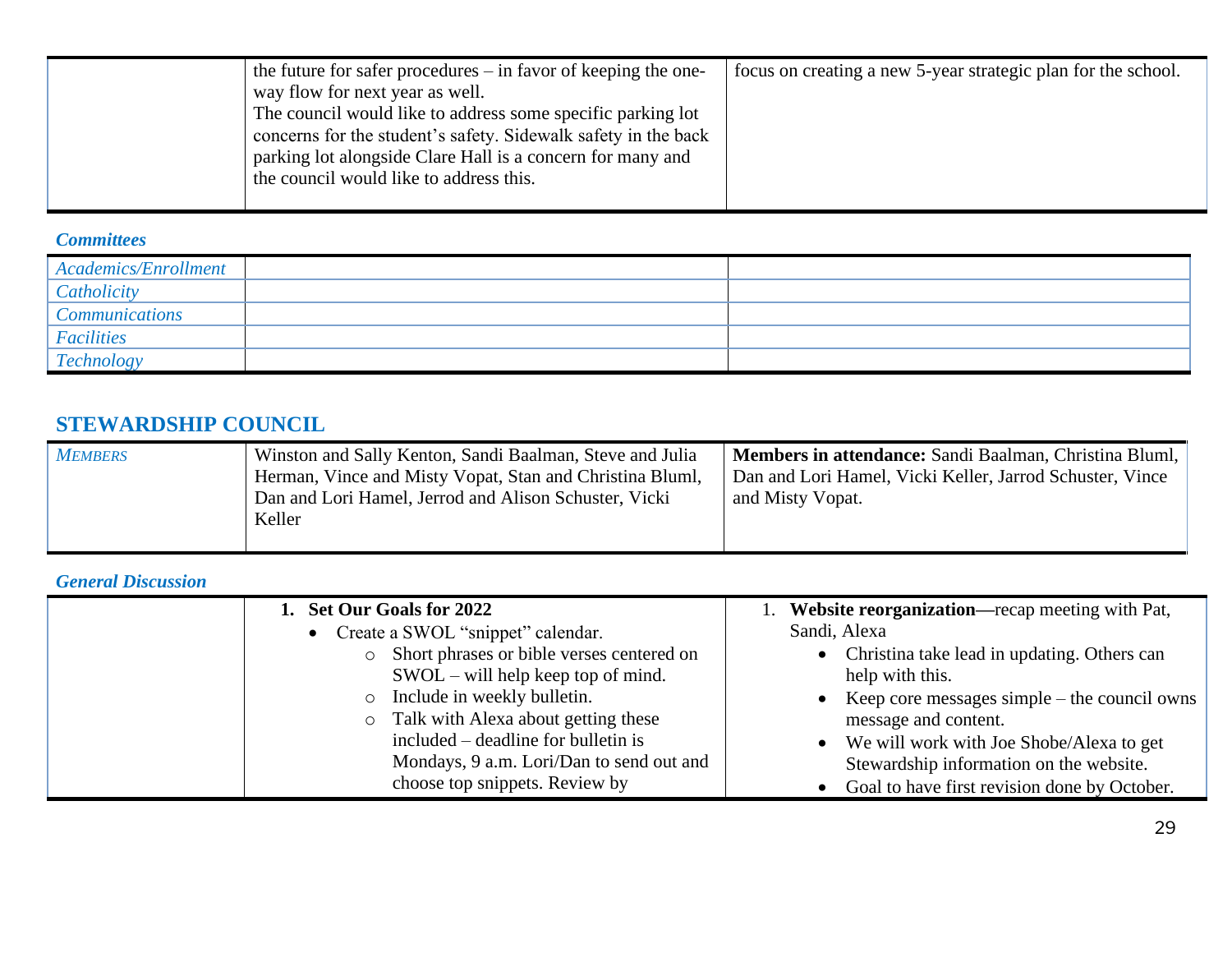| the future for safer procedures – in favor of keeping the one-<br>way flow for next year as well.<br>The council would like to address some specific parking lot<br>concerns for the student's safety. Sidewalk safety in the back | focus on creating a new 5-year strategic plan for the school. |
|------------------------------------------------------------------------------------------------------------------------------------------------------------------------------------------------------------------------------------|---------------------------------------------------------------|
| parking lot alongside Clare Hall is a concern for many and<br>the council would like to address this.                                                                                                                              |                                                               |

#### *Committees*

| Academics/Enrollment  |  |
|-----------------------|--|
| Catholicity           |  |
| <b>Communications</b> |  |
| Facilities            |  |
| <b>Technology</b>     |  |

### **STEWARDSHIP COUNCIL**

| <b>MEMBERS</b> | Winston and Sally Kenton, Sandi Baalman, Steve and Julia<br>Herman, Vince and Misty Vopat, Stan and Christina Bluml,<br>Dan and Lori Hamel, Jerrod and Alison Schuster, Vicki<br>Keller | Members in attendance: Sandi Baalman, Christina Bluml,<br>Dan and Lori Hamel, Vicki Keller, Jarrod Schuster, Vince<br>and Misty Vopat. |
|----------------|-----------------------------------------------------------------------------------------------------------------------------------------------------------------------------------------|----------------------------------------------------------------------------------------------------------------------------------------|
|                |                                                                                                                                                                                         |                                                                                                                                        |

### *General Discussion*

| 1. Set Our Goals for 2022                 | 1. Website reorganization—recap meeting with Pat, |
|-------------------------------------------|---------------------------------------------------|
| • Create a SWOL "snippet" calendar.       | Sandi, Alexa                                      |
| Short phrases or bible verses centered on | Christina take lead in updating. Others can       |
| $SWOL - will help keep top of mind.$      | help with this.                                   |
| Include in weekly bulletin.<br>$\circ$    | Keep core messages simple – the council owns      |
| • Talk with Alexa about getting these     | message and content.                              |
| included – deadline for bulletin is       | We will work with Joe Shobe/Alexa to get          |
| Mondays, 9 a.m. Lori/Dan to send out and  | Stewardship information on the website.           |
| choose top snippets. Review by            | Goal to have first revision done by October.      |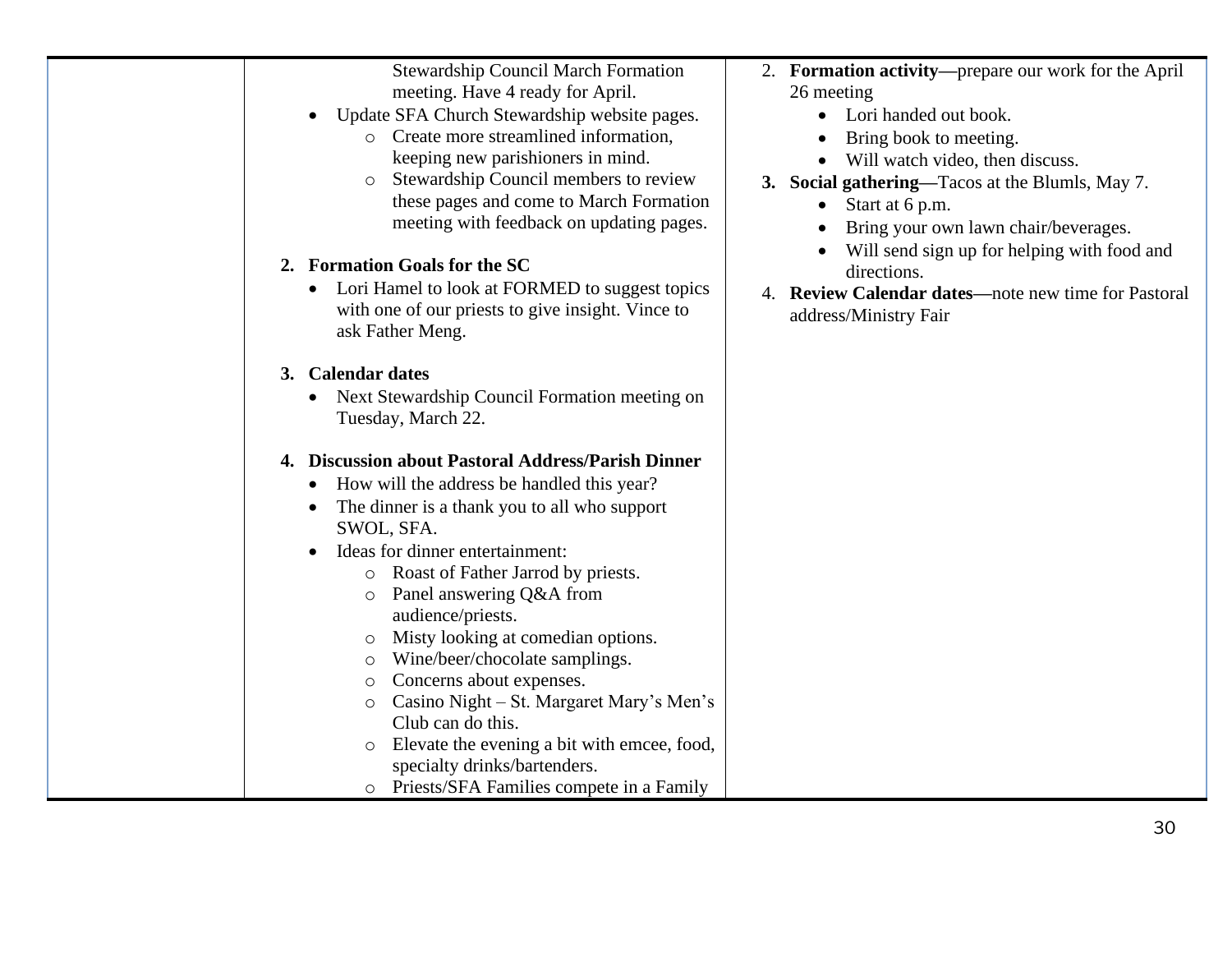| <b>Stewardship Council March Formation</b><br>meeting. Have 4 ready for April.<br>Update SFA Church Stewardship website pages.<br>$\bullet$<br>o Create more streamlined information,<br>keeping new parishioners in mind.<br>Stewardship Council members to review<br>these pages and come to March Formation<br>meeting with feedback on updating pages.<br>2. Formation Goals for the SC<br>Lori Hamel to look at FORMED to suggest topics<br>$\bullet$<br>with one of our priests to give insight. Vince to<br>ask Father Meng.                                                                                                                                                                                                                          | 2. Formation activity—prepare our work for the April<br>26 meeting<br>Lori handed out book.<br>Bring book to meeting.<br>Will watch video, then discuss.<br>3. Social gathering—Tacos at the Blumls, May 7.<br>Start at 6 p.m.<br>$\bullet$<br>Bring your own lawn chair/beverages.<br>Will send sign up for helping with food and<br>directions.<br>4. Review Calendar dates—note new time for Pastoral<br>address/Ministry Fair |
|--------------------------------------------------------------------------------------------------------------------------------------------------------------------------------------------------------------------------------------------------------------------------------------------------------------------------------------------------------------------------------------------------------------------------------------------------------------------------------------------------------------------------------------------------------------------------------------------------------------------------------------------------------------------------------------------------------------------------------------------------------------|-----------------------------------------------------------------------------------------------------------------------------------------------------------------------------------------------------------------------------------------------------------------------------------------------------------------------------------------------------------------------------------------------------------------------------------|
| 3. Calendar dates<br>Next Stewardship Council Formation meeting on<br>$\bullet$<br>Tuesday, March 22.<br>4. Discussion about Pastoral Address/Parish Dinner<br>How will the address be handled this year?<br>The dinner is a thank you to all who support<br>$\bullet$<br>SWOL, SFA.<br>Ideas for dinner entertainment:<br>$\bullet$<br>Roast of Father Jarrod by priests.<br>$\circ$<br>Panel answering Q&A from<br>audience/priests.<br>Misty looking at comedian options.<br>O<br>Wine/beer/chocolate samplings.<br>O<br>Concerns about expenses.<br>O<br>Casino Night – St. Margaret Mary's Men's<br>O<br>Club can do this.<br>Elevate the evening a bit with emcee, food,<br>specialty drinks/bartenders.<br>o Priests/SFA Families compete in a Family |                                                                                                                                                                                                                                                                                                                                                                                                                                   |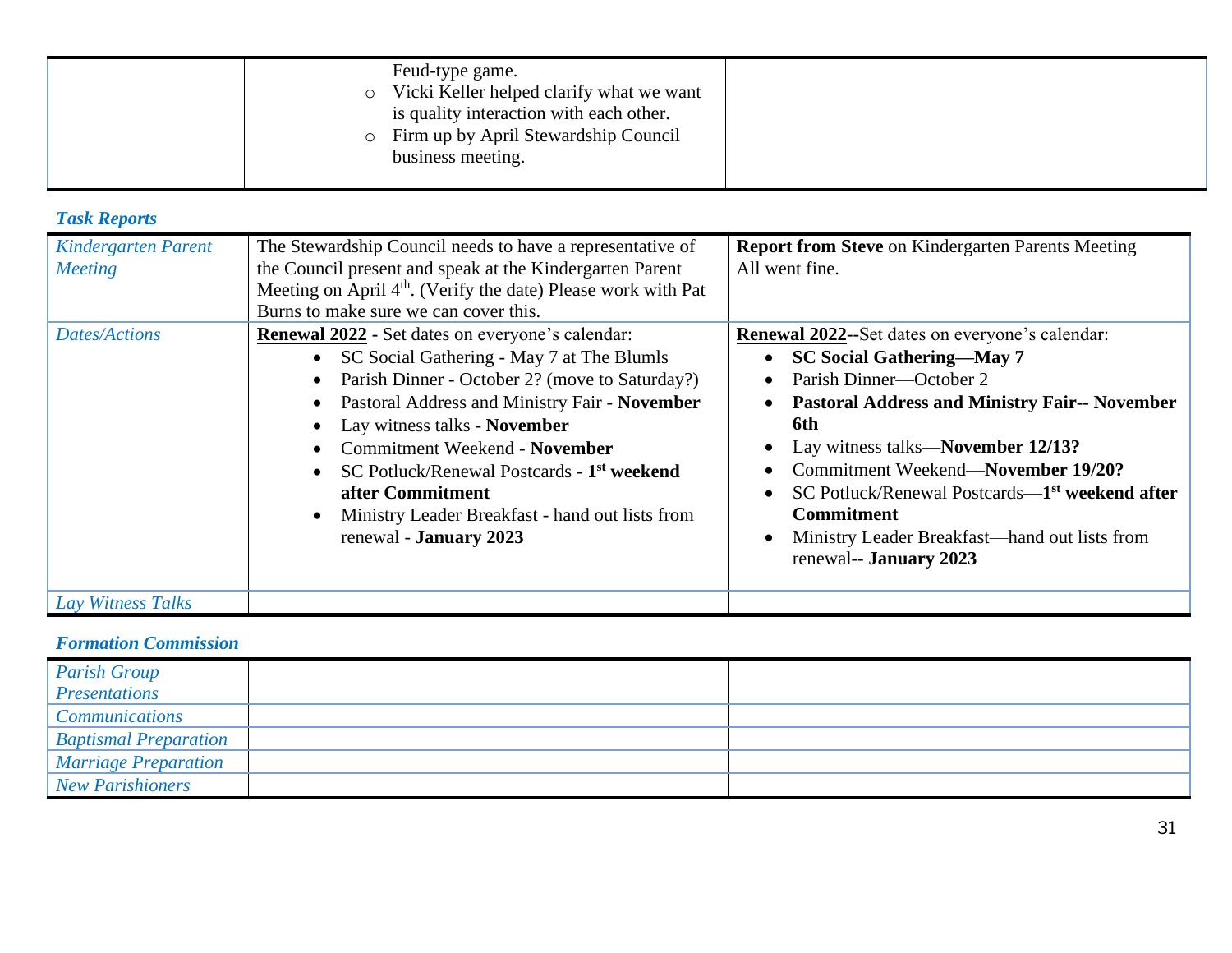| Feud-type game.<br>Vicki Keller helped clarify what we want<br>$\circ$<br>is quality interaction with each other.<br>• Firm up by April Stewardship Council<br>business meeting. |  |
|----------------------------------------------------------------------------------------------------------------------------------------------------------------------------------|--|
|----------------------------------------------------------------------------------------------------------------------------------------------------------------------------------|--|

### *Task Reports*

| <b>Kindergarten Parent</b><br><b>Meeting</b> | The Stewardship Council needs to have a representative of<br>the Council present and speak at the Kindergarten Parent<br>Meeting on April 4 <sup>th</sup> . (Verify the date) Please work with Pat<br>Burns to make sure we can cover this.                                                                                                                                                                                                                          | <b>Report from Steve on Kindergarten Parents Meeting</b><br>All went fine.                                                                                                                                                                                                                                                                                                                                                                                                                     |
|----------------------------------------------|----------------------------------------------------------------------------------------------------------------------------------------------------------------------------------------------------------------------------------------------------------------------------------------------------------------------------------------------------------------------------------------------------------------------------------------------------------------------|------------------------------------------------------------------------------------------------------------------------------------------------------------------------------------------------------------------------------------------------------------------------------------------------------------------------------------------------------------------------------------------------------------------------------------------------------------------------------------------------|
| <b>Dates/Actions</b>                         | <b>Renewal 2022 - Set dates on everyone's calendar:</b><br>SC Social Gathering - May 7 at The Blumls<br>$\bullet$<br>Parish Dinner - October 2? (move to Saturday?)<br>Pastoral Address and Ministry Fair - November<br>Lay witness talks - November<br><b>Commitment Weekend - November</b><br>SC Potluck/Renewal Postcards - 1 <sup>st</sup> weekend<br>after Commitment<br>Ministry Leader Breakfast - hand out lists from<br>$\bullet$<br>renewal - January 2023 | <b>Renewal 2022--Set dates on everyone's calendar:</b><br><b>SC Social Gathering—May 7</b><br>$\bullet$<br>Parish Dinner—October 2<br>$\bullet$<br><b>Pastoral Address and Ministry Fair-- November</b><br>$\bullet$<br>6th<br>Lay witness talks—November 12/13?<br>Commitment Weekend-November 19/20?<br>$\bullet$<br>SC Potluck/Renewal Postcards—1 <sup>st</sup> weekend after<br><b>Commitment</b><br>Ministry Leader Breakfast—hand out lists from<br>$\bullet$<br>renewal-- January 2023 |
| Lay Witness Talks                            |                                                                                                                                                                                                                                                                                                                                                                                                                                                                      |                                                                                                                                                                                                                                                                                                                                                                                                                                                                                                |

### *Formation Commission*

| <b>Parish Group</b>          |  |
|------------------------------|--|
| Presentations                |  |
| <b>Communications</b>        |  |
| <b>Baptismal Preparation</b> |  |
| <i>Marriage Preparation</i>  |  |
| New Parishioners             |  |